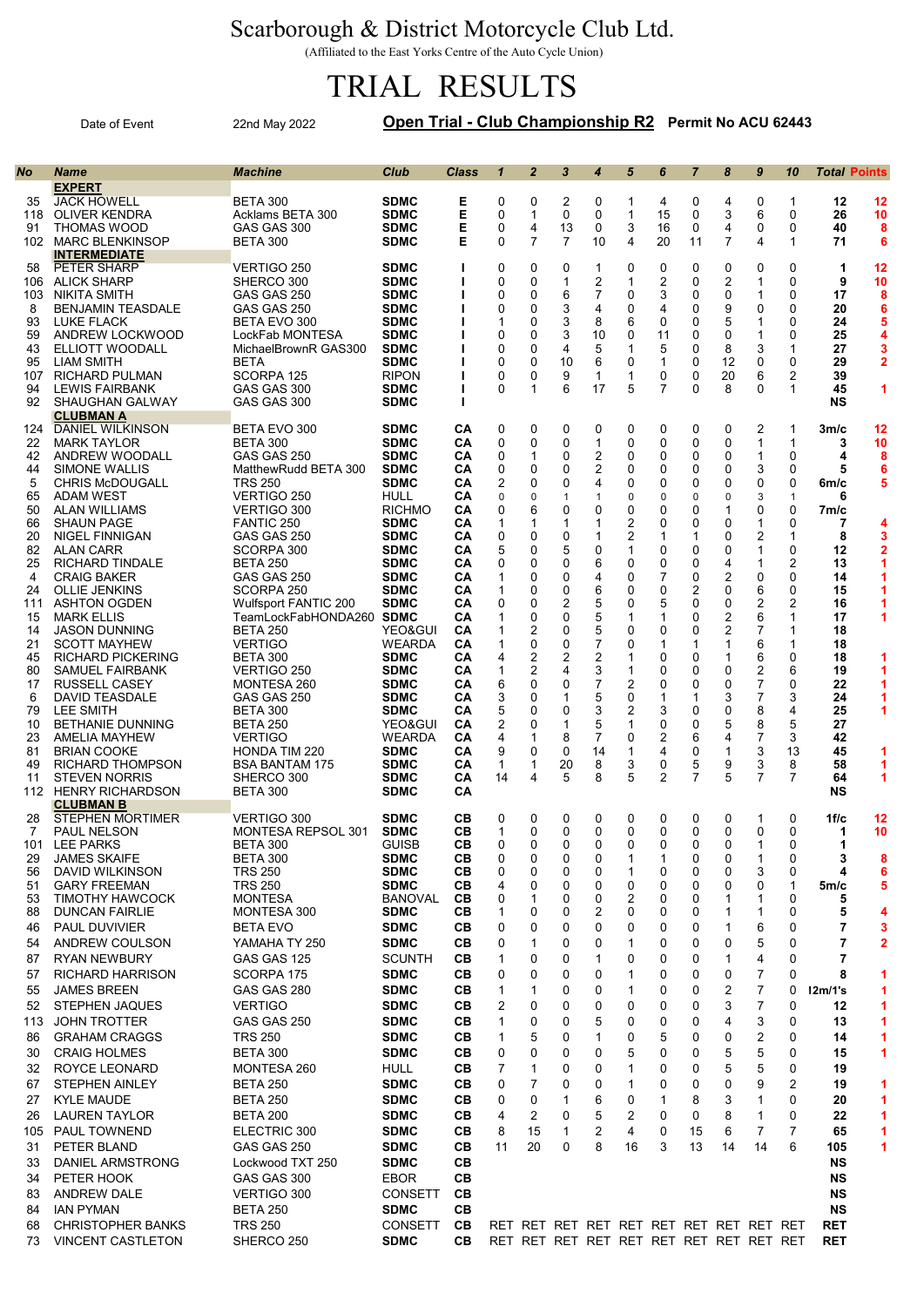## Scarborough & District Motorcycle Club Ltd.

(Affiliated to the East Yorks Centre of the Auto Cycle Union)

## TRIAL RESULTS

## Date of Event 22nd May 2022 **Open Trial - Club Championship R2** Permit No ACU 62443

| <b>EXPERT</b><br><b>JACK HOWELL</b><br><b>BETA 300</b><br><b>SDMC</b><br>Е<br>0<br>0<br>2<br>0<br>0<br>4<br>0<br>1<br>35<br>1<br>4<br>3<br>0<br><b>OLIVER KENDRA</b><br>Acklams BETA 300<br><b>SDMC</b><br>Е<br>0<br>$\mathbf{1}$<br>0<br>1<br>15<br>0<br>6<br>0<br>118<br><b>THOMAS WOOD</b><br>GAS GAS 300<br><b>SDMC</b><br>Е<br>0<br>4<br>13<br>0<br>3<br>16<br>0<br>4<br>0<br>0<br>91<br>$\overline{7}$<br>Е<br>0<br>$\overline{7}$<br>$\overline{7}$<br>10<br>20<br>11<br>1<br><b>MARC BLENKINSOP</b><br><b>SDMC</b><br>4<br>4<br>102<br>BETA 300<br><b>INTERMEDIATE</b><br><b>PETER SHARP</b><br>VERTIGO 250<br><b>SDMC</b><br>0<br>0<br>0<br>1<br>0<br>0<br>0<br>0<br>0<br>0<br>58<br>2<br>2<br>2<br><b>ALICK SHARP</b><br>SHERCO 300<br><b>SDMC</b><br>0<br>0<br>1<br>$\mathbf{1}$<br>0<br>0<br>106<br>1<br>0<br>6<br>7<br>3<br>0<br>NIKITA SMITH<br>GAS GAS 250<br><b>SDMC</b><br>0<br>0<br>0<br>0<br>103<br>1<br>3<br><b>SDMC</b><br>0<br>4<br>9<br>$\mathbf{0}$<br>8<br><b>BENJAMIN TEASDALE</b><br>GAS GAS 250<br>0<br>0<br>4<br>0<br>0<br>3<br>5<br>93<br><b>LUKE FLACK</b><br>BETA EVO 300<br><b>SDMC</b><br>0<br>8<br>6<br>0<br>0<br>1<br>0<br>1<br>3<br>0<br>59<br>ANDREW LOCKWOOD<br>LockFab MONTESA<br><b>SDMC</b><br>0<br>0<br>10<br>0<br>11<br>0<br>1<br>0<br>4<br>5<br>8<br>43<br>ELLIOTT WOODALL<br><b>SDMC</b><br>0<br>0<br>5<br>0<br>3<br>1<br>MichaelBrownR GAS300<br>1<br>10<br>6<br>95<br>LIAM SMITH<br><b>BETA</b><br><b>SDMC</b><br>0<br>0<br>0<br>1<br>0<br>12<br>0<br>0<br>SCORPA 125<br><b>RIPON</b><br>9<br>2<br>RICHARD PULMAN<br>0<br>0<br>1<br>1<br>0<br>0<br>20<br>6<br>107<br>6<br>17<br>5<br>7<br>$\mathbf{0}$<br>8<br><b>LEWIS FAIRBANK</b><br>GAS GAS 300<br><b>SDMC</b><br>0<br>0<br>1<br>94<br>1<br>SHAUGHAN GALWAY<br>GAS GAS 300<br><b>SDMC</b><br>92<br><b>CLUBMAN A</b><br><b>DANIEL WILKINSON</b><br>CA<br>0<br>0<br>2<br>BETA EVO 300<br><b>SDMC</b><br>0<br>0<br>0<br>0<br>0<br>0<br>1<br>124<br><b>MARK TAYLOR</b><br><b>BETA 300</b><br><b>SDMC</b><br>CА<br>0<br>0<br>0<br>1<br>0<br>0<br>0<br>0<br>1<br>1<br>22<br>0<br>2<br>0<br><b>SDMC</b><br>0<br>0<br>0<br>0<br>0<br>$\mathbf{1}$<br>42<br>ANDREW WOODALL<br>GAS GAS 250<br>CА<br>1<br>2<br>3<br>SIMONE WALLIS<br><b>SDMC</b><br>0<br>0<br>0<br>0<br>0<br>0<br>0<br>0<br>44<br>MatthewRudd BETA 300<br>CА<br>2<br>5<br><b>CHRIS McDOUGALL</b><br><b>TRS 250</b><br><b>SDMC</b><br>CА<br>0<br>0<br>4<br>0<br>0<br>0<br>0<br>0<br>0<br><b>ADAM WEST</b><br>VERTIGO 250<br>HULL<br>CА<br>65<br>0<br>$\mathbf 0$<br>$\mathbf 0$<br>0<br>0<br>3<br>$\mathbf{1}$<br>$\mathbf{1}$<br>0<br>$\mathbf{1}$<br>0<br>50<br><b>ALAN WILLIAMS</b><br>VERTIGO 300<br><b>RICHMO</b><br>CА<br>0<br>6<br>0<br>0<br>0<br>0<br>1<br>0<br>0<br>$\overline{\mathbf{c}}$<br>0<br>0<br>0<br><b>SHAUN PAGE</b><br>FANTIC 250<br><b>SDMC</b><br>CА<br>1<br>1<br>0<br>66<br>1<br>1<br>1<br>0<br>2<br>2<br>20<br><b>NIGEL FINNIGAN</b><br>GAS GAS 250<br><b>SDMC</b><br>CА<br>0<br>0<br>1<br>1<br>1<br>0<br>1<br>5<br>5<br>0<br>82<br><b>ALAN CARR</b><br>SCORPA 300<br><b>SDMC</b><br>CА<br>0<br>0<br>$\mathbf{1}$<br>0<br>0<br>0<br>1<br>25<br><b>RICHARD TINDALE</b><br><b>BETA 250</b><br><b>SDMC</b><br>CА<br>0<br>0<br>0<br>6<br>0<br>0<br>0<br>4<br>1<br>2<br>$\overline{2}$<br>0<br>7<br>0<br>$\mathbf{0}$<br>GAS GAS 250<br><b>SDMC</b><br>0<br>4<br>0<br>0<br>4<br><b>CRAIG BAKER</b><br>CА<br>1<br><b>SDMC</b><br>0<br>6<br>0<br>2<br>6<br>24<br><b>OLLIE JENKINS</b><br>SCORPA 250<br>0<br>0<br>0<br>0<br>CА<br>1<br>2<br>5<br>5<br>0<br>2<br><b>ASHTON OGDEN</b><br><b>Wulfsport FANTIC 200</b><br><b>SDMC</b><br>CА<br>0<br>0<br>0<br>0<br>2<br>111<br>5<br>2<br><b>MARK ELLIS</b><br>TeamLockFabHONDA260 SDMC<br>CА<br>0<br>0<br>1<br>0<br>6<br>15<br>1<br>1<br>1<br>2<br>0<br>5<br>2<br><b>JASON DUNNING</b><br><b>BETA 250</b><br>YEO&GUI<br>CА<br>0<br>0<br>0<br>7<br>14<br>1<br>1<br><b>VERTIGO</b><br><b>WEARDA</b><br>CA<br>0<br>0<br>7<br>6<br>21<br><b>SCOTT MAYHEW</b><br>1<br>0<br>1<br>1<br>1<br>1<br>2<br>2<br>2<br><b>RICHARD PICKERING</b><br><b>BETA 300</b><br><b>SDMC</b><br>CА<br>1<br>0<br>0<br>1<br>6<br>0<br>45<br>4<br>3<br>2<br>4<br>2<br><b>SAMUEL FAIRBANK</b><br>VERTIGO 250<br><b>SDMC</b><br>CА<br>1<br>1<br>0<br>0<br>0<br>6<br>80<br>7<br>0<br>2<br>0<br>0<br>0<br>7<br><b>SDMC</b><br>6<br>0<br>0<br>17<br>RUSSELL CASEY<br>MONTESA 260<br>CА<br>3<br>5<br>0<br>3<br>7<br>3<br>6<br>DAVID TEASDALE<br>GAS GAS 250<br><b>SDMC</b><br>CА<br>0<br>1<br>1<br>1<br>5<br>3<br>2<br>3<br>0<br>8<br>79<br><b>LEE SMITH</b><br><b>BETA 300</b><br><b>SDMC</b><br>CА<br>0<br>0<br>0<br>4<br>2<br>5<br>5<br>5<br><b>BETHANIE DUNNING</b><br><b>BETA 250</b><br>YEO&GUI<br>CА<br>1<br>0<br>0<br>8<br>10<br>0<br>1<br>2<br>8<br>7<br>0<br>6<br>4<br>7<br>3<br>23<br><b>VERTIGO</b><br><b>WEARDA</b><br>CА<br>4<br>AMELIA MAYHEW<br>1<br>0<br>14<br>3<br><b>BRIAN COOKE</b><br><b>HONDA TIM 220</b><br><b>SDMC</b><br>CА<br>9<br>0<br>1<br>4<br>0<br>1<br>13<br>81<br>3<br>9<br>49<br><b>RICHARD THOMPSON</b><br><b>BSA BANTAM 175</b><br><b>SDMC</b><br>CА<br>1<br>1<br>20<br>8<br>0<br>5<br>3<br>8<br>5<br>5<br>14<br>5<br>8<br>2<br>7<br>$\overline{7}$<br>7<br><b>STEVEN NORRIS</b><br>SHERCO 300<br><b>SDMC</b><br>CА<br>4<br>11<br><b>HENRY RICHARDSON</b><br><b>BETA 300</b><br><b>SDMC</b><br>CА<br>112<br><u>CLUBMAN B</u><br>CВ<br><b>STEPHEN MORTIMER</b><br><b>VERTIGO 300</b><br><b>SDMC</b><br>0<br>0<br>0<br>0<br>0<br>0<br>28<br>0<br>0<br>0<br>1<br><b>SDMC</b><br>СВ<br>7<br>PAUL NELSON<br>MONTESA REPSOL 301<br>1<br>0<br>0<br>0<br>0<br>0<br>0<br>0<br>0<br>0<br>101 LEE PARKS<br><b>GUISB</b><br>CВ<br>0<br>0<br>0<br>0<br>0<br>0<br>0<br>0<br>0<br>BETA 300<br>1<br><b>JAMES SKAIFE</b><br><b>BETA 300</b><br><b>SDMC</b><br>CВ<br>29<br>0<br>0<br>0<br>0<br>0<br>0<br>0<br>1<br>1<br>1<br><b>TRS 250</b><br><b>SDMC</b><br>CВ<br>0<br>0<br>3<br>DAVID WILKINSON<br>0<br>0<br>0<br>1<br>0<br>0<br>0<br>56<br><b>TRS 250</b><br><b>SDMC</b><br>0<br><b>GARY FREEMAN</b><br>CВ<br>4<br>0<br>0<br>0<br>0<br>0<br>0<br>0<br>1<br>51<br>TIMOTHY HAWCOCK<br><b>MONTESA</b><br><b>BANOVAL</b><br>CВ<br>0<br>2<br>0<br>53<br>0<br>1<br>0<br>0<br>0<br>1<br>1<br>2<br><b>SDMC</b><br>СВ<br>0<br>0<br>0<br>0<br>0<br>0<br>88<br><b>DUNCAN FAIRLIE</b><br>MONTESA 300<br>1<br>1<br>1<br><b>PAUL DUVIVIER</b><br><b>BETA EVO</b><br><b>SDMC</b><br>CВ<br>0<br>0<br>0<br>0<br>0<br>6<br>0<br>0<br>0<br>46<br>1<br><b>SDMC</b><br>CВ<br>5<br>ANDREW COULSON<br>YAMAHA TY 250<br>0<br>1<br>0<br>0<br>1<br>0<br>0<br>0<br>0<br>54<br><b>RYAN NEWBURY</b><br>GAS GAS 125<br><b>SCUNTH</b><br>CВ<br>0<br>0<br>0<br>0<br>0<br>1<br>4<br>0<br>87<br>1<br>1<br>SCORPA 175<br><b>SDMC</b><br>CВ<br>0<br>0<br>0<br>0<br>7<br>$\mathbf{0}$<br><b>RICHARD HARRISON</b><br>0<br>0<br>0<br>57<br>1<br>$\overline{7}$<br>GAS GAS 280<br><b>SDMC</b><br>CВ<br>2<br><b>JAMES BREEN</b><br>0<br>0<br>0<br>0<br>0<br>55<br>1<br>1<br>1<br>2<br>3<br>7<br>0<br><b>STEPHEN JAQUES</b><br><b>VERTIGO</b><br><b>SDMC</b><br>CВ<br>0<br>0<br>0<br>0<br>0<br>0<br>52<br>GAS GAS 250<br><b>SDMC</b><br>CВ<br>0<br>$\mathbf{0}$<br>5<br>0<br>3<br>0<br><b>JOHN TROTTER</b><br>0<br>0<br>4<br>113<br>1<br><b>SDMC</b><br>CВ<br>2<br><b>GRAHAM CRAGGS</b><br><b>TRS 250</b><br>5<br>0<br>1<br>0<br>5<br>0<br>0<br>86<br>1<br>0<br><b>SDMC</b><br>5<br>5<br>5<br><b>CRAIG HOLMES</b><br><b>BETA 300</b><br>CВ<br>0<br>0<br>0<br>0<br>0<br>0<br>0<br>30<br><b>HULL</b><br>5<br>5<br>ROYCE LEONARD<br>MONTESA 260<br>CВ<br>7<br>0<br>0<br>0<br>0<br>0<br>32<br>1<br>1<br><b>SDMC</b><br>CВ<br>2<br><b>STEPHEN AINLEY</b><br><b>BETA 250</b><br>7<br>0<br>0<br>0<br>0<br>0<br>9<br>67<br>0<br>1<br><b>KYLE MAUDE</b><br><b>SDMC</b><br>CВ<br>0<br>0<br>27<br><b>BETA 250</b><br>0<br>1<br>6<br>0<br>1<br>8<br>3<br>1<br><b>SDMC</b><br>CВ<br>26<br><b>LAUREN TAYLOR</b><br><b>BETA 200</b><br>4<br>2<br>0<br>5<br>2<br>0<br>0<br>8<br>0<br>1<br>CВ<br>15<br>2<br>15<br>PAUL TOWNEND<br>ELECTRIC 300<br><b>SDMC</b><br>8<br>0<br>6<br>7<br>7<br>105<br>1<br>4<br>PETER BLAND<br><b>SDMC</b><br>CВ<br>11<br>20<br>$\mathbf{0}$<br>8<br>3<br>13<br>6<br>GAS GAS 250<br>16<br>14<br>14<br>31<br><b>SDMC</b><br>CВ<br>DANIEL ARMSTRONG<br>Lockwood TXT 250<br>33<br>PETER HOOK<br>CВ<br>GAS GAS 300<br>EBOR<br>34<br><b>ANDREW DALE</b><br>VERTIGO 300<br>CВ<br><b>CONSETT</b><br>83<br><b>IAN PYMAN</b><br><b>SDMC</b><br>CВ<br><b>BETA 250</b><br>84<br><b>TRS 250</b><br>CВ<br><b>CHRISTOPHER BANKS</b><br><b>CONSETT</b><br>68<br><b>SDMC</b><br><b>VINCENT CASTLETON</b><br>SHERCO 250<br>CВ<br>73 | No | <b>Name</b> | <b>Machine</b> | Club | Class | 1 | $\overline{2}$ | 3 | 4 | 5 | 6 | $\overline{7}$ | 8 | 9 | 10 | <b>Total Points</b> |                |
|--------------------------------------------------------------------------------------------------------------------------------------------------------------------------------------------------------------------------------------------------------------------------------------------------------------------------------------------------------------------------------------------------------------------------------------------------------------------------------------------------------------------------------------------------------------------------------------------------------------------------------------------------------------------------------------------------------------------------------------------------------------------------------------------------------------------------------------------------------------------------------------------------------------------------------------------------------------------------------------------------------------------------------------------------------------------------------------------------------------------------------------------------------------------------------------------------------------------------------------------------------------------------------------------------------------------------------------------------------------------------------------------------------------------------------------------------------------------------------------------------------------------------------------------------------------------------------------------------------------------------------------------------------------------------------------------------------------------------------------------------------------------------------------------------------------------------------------------------------------------------------------------------------------------------------------------------------------------------------------------------------------------------------------------------------------------------------------------------------------------------------------------------------------------------------------------------------------------------------------------------------------------------------------------------------------------------------------------------------------------------------------------------------------------------------------------------------------------------------------------------------------------------------------------------------------------------------------------------------------------------------------------------------------------------------------------------------------------------------------------------------------------------------------------------------------------------------------------------------------------------------------------------------------------------------------------------------------------------------------------------------------------------------------------------------------------------------------------------------------------------------------------------------------------------------------------------------------------------------------------------------------------------------------------------------------------------------------------------------------------------------------------------------------------------------------------------------------------------------------------------------------------------------------------------------------------------------------------------------------------------------------------------------------------------------------------------------------------------------------------------------------------------------------------------------------------------------------------------------------------------------------------------------------------------------------------------------------------------------------------------------------------------------------------------------------------------------------------------------------------------------------------------------------------------------------------------------------------------------------------------------------------------------------------------------------------------------------------------------------------------------------------------------------------------------------------------------------------------------------------------------------------------------------------------------------------------------------------------------------------------------------------------------------------------------------------------------------------------------------------------------------------------------------------------------------------------------------------------------------------------------------------------------------------------------------------------------------------------------------------------------------------------------------------------------------------------------------------------------------------------------------------------------------------------------------------------------------------------------------------------------------------------------------------------------------------------------------------------------------------------------------------------------------------------------------------------------------------------------------------------------------------------------------------------------------------------------------------------------------------------------------------------------------------------------------------------------------------------------------------------------------------------------------------------------------------------------------------------------------------------------------------------------------------------------------------------------------------------------------------------------------------------------------------------------------------------------------------------------------------------------------------------------------------------------------------------------------------------------------------------------------------------------------------------------------------------------------------------------------------------------------------------------------------------------------------------------------------------------------------------------------------------------------------------------------------------------------------------------------------------------------------------------------------------------------------------------------------------------------------------------------------------------------------------------------------------------------------------------------------------------------------------------------------------------------------------------------------------------------------------------------------------------------------------------------------------------------------------------------------------------------------------------------------------------------------------------------------------------------------------------------------------------------------------------------------------------------------------------------------------------------------------------------------------------------------------------------------------------------------------------------------------------------------------------------------------------------------------------------------------------------------------------------------------------------------------------------------------------------------------------------------------------------------------------------------------------------------------------------------------------------------------------------------------------------------------------------------------------------------------------------------------------------------------------------------------------------------------------------------------------------------------------------------------------------------------------------------------------------------------------------------------------------------------------------------------------------------------------------------------------------------------------------------------------------------------------------------------------------------------------------------------------------------------------------------------------------------|----|-------------|----------------|------|-------|---|----------------|---|---|---|---|----------------|---|---|----|---------------------|----------------|
|                                                                                                                                                                                                                                                                                                                                                                                                                                                                                                                                                                                                                                                                                                                                                                                                                                                                                                                                                                                                                                                                                                                                                                                                                                                                                                                                                                                                                                                                                                                                                                                                                                                                                                                                                                                                                                                                                                                                                                                                                                                                                                                                                                                                                                                                                                                                                                                                                                                                                                                                                                                                                                                                                                                                                                                                                                                                                                                                                                                                                                                                                                                                                                                                                                                                                                                                                                                                                                                                                                                                                                                                                                                                                                                                                                                                                                                                                                                                                                                                                                                                                                                                                                                                                                                                                                                                                                                                                                                                                                                                                                                                                                                                                                                                                                                                                                                                                                                                                                                                                                                                                                                                                                                                                                                                                                                                                                                                                                                                                                                                                                                                                                                                                                                                                                                                                                                                                                                                                                                                                                                                                                                                                                                                                                                                                                                                                                                                                                                                                                                                                                                                                                                                                                                                                                                                                                                                                                                                                                                                                                                                                                                                                                                                                                                                                                                                                                                                                                                                                                                                                                                                                                                                                                                                                                                                                                                                                                                                                                                                                                                                                                                                                                                                                                                                                                                                                                                                                                                                                                                                                                                            |    |             |                |      |       |   |                |   |   |   |   |                |   |   |    |                     |                |
|                                                                                                                                                                                                                                                                                                                                                                                                                                                                                                                                                                                                                                                                                                                                                                                                                                                                                                                                                                                                                                                                                                                                                                                                                                                                                                                                                                                                                                                                                                                                                                                                                                                                                                                                                                                                                                                                                                                                                                                                                                                                                                                                                                                                                                                                                                                                                                                                                                                                                                                                                                                                                                                                                                                                                                                                                                                                                                                                                                                                                                                                                                                                                                                                                                                                                                                                                                                                                                                                                                                                                                                                                                                                                                                                                                                                                                                                                                                                                                                                                                                                                                                                                                                                                                                                                                                                                                                                                                                                                                                                                                                                                                                                                                                                                                                                                                                                                                                                                                                                                                                                                                                                                                                                                                                                                                                                                                                                                                                                                                                                                                                                                                                                                                                                                                                                                                                                                                                                                                                                                                                                                                                                                                                                                                                                                                                                                                                                                                                                                                                                                                                                                                                                                                                                                                                                                                                                                                                                                                                                                                                                                                                                                                                                                                                                                                                                                                                                                                                                                                                                                                                                                                                                                                                                                                                                                                                                                                                                                                                                                                                                                                                                                                                                                                                                                                                                                                                                                                                                                                                                                                                            |    |             |                |      |       |   |                |   |   |   |   |                |   |   |    | 12                  | 12             |
|                                                                                                                                                                                                                                                                                                                                                                                                                                                                                                                                                                                                                                                                                                                                                                                                                                                                                                                                                                                                                                                                                                                                                                                                                                                                                                                                                                                                                                                                                                                                                                                                                                                                                                                                                                                                                                                                                                                                                                                                                                                                                                                                                                                                                                                                                                                                                                                                                                                                                                                                                                                                                                                                                                                                                                                                                                                                                                                                                                                                                                                                                                                                                                                                                                                                                                                                                                                                                                                                                                                                                                                                                                                                                                                                                                                                                                                                                                                                                                                                                                                                                                                                                                                                                                                                                                                                                                                                                                                                                                                                                                                                                                                                                                                                                                                                                                                                                                                                                                                                                                                                                                                                                                                                                                                                                                                                                                                                                                                                                                                                                                                                                                                                                                                                                                                                                                                                                                                                                                                                                                                                                                                                                                                                                                                                                                                                                                                                                                                                                                                                                                                                                                                                                                                                                                                                                                                                                                                                                                                                                                                                                                                                                                                                                                                                                                                                                                                                                                                                                                                                                                                                                                                                                                                                                                                                                                                                                                                                                                                                                                                                                                                                                                                                                                                                                                                                                                                                                                                                                                                                                                                            |    |             |                |      |       |   |                |   |   |   |   |                |   |   |    | 26                  | 10             |
|                                                                                                                                                                                                                                                                                                                                                                                                                                                                                                                                                                                                                                                                                                                                                                                                                                                                                                                                                                                                                                                                                                                                                                                                                                                                                                                                                                                                                                                                                                                                                                                                                                                                                                                                                                                                                                                                                                                                                                                                                                                                                                                                                                                                                                                                                                                                                                                                                                                                                                                                                                                                                                                                                                                                                                                                                                                                                                                                                                                                                                                                                                                                                                                                                                                                                                                                                                                                                                                                                                                                                                                                                                                                                                                                                                                                                                                                                                                                                                                                                                                                                                                                                                                                                                                                                                                                                                                                                                                                                                                                                                                                                                                                                                                                                                                                                                                                                                                                                                                                                                                                                                                                                                                                                                                                                                                                                                                                                                                                                                                                                                                                                                                                                                                                                                                                                                                                                                                                                                                                                                                                                                                                                                                                                                                                                                                                                                                                                                                                                                                                                                                                                                                                                                                                                                                                                                                                                                                                                                                                                                                                                                                                                                                                                                                                                                                                                                                                                                                                                                                                                                                                                                                                                                                                                                                                                                                                                                                                                                                                                                                                                                                                                                                                                                                                                                                                                                                                                                                                                                                                                                                            |    |             |                |      |       |   |                |   |   |   |   |                |   |   |    | 40                  | 8              |
|                                                                                                                                                                                                                                                                                                                                                                                                                                                                                                                                                                                                                                                                                                                                                                                                                                                                                                                                                                                                                                                                                                                                                                                                                                                                                                                                                                                                                                                                                                                                                                                                                                                                                                                                                                                                                                                                                                                                                                                                                                                                                                                                                                                                                                                                                                                                                                                                                                                                                                                                                                                                                                                                                                                                                                                                                                                                                                                                                                                                                                                                                                                                                                                                                                                                                                                                                                                                                                                                                                                                                                                                                                                                                                                                                                                                                                                                                                                                                                                                                                                                                                                                                                                                                                                                                                                                                                                                                                                                                                                                                                                                                                                                                                                                                                                                                                                                                                                                                                                                                                                                                                                                                                                                                                                                                                                                                                                                                                                                                                                                                                                                                                                                                                                                                                                                                                                                                                                                                                                                                                                                                                                                                                                                                                                                                                                                                                                                                                                                                                                                                                                                                                                                                                                                                                                                                                                                                                                                                                                                                                                                                                                                                                                                                                                                                                                                                                                                                                                                                                                                                                                                                                                                                                                                                                                                                                                                                                                                                                                                                                                                                                                                                                                                                                                                                                                                                                                                                                                                                                                                                                                            |    |             |                |      |       |   |                |   |   |   |   |                |   |   |    | 71                  | 6              |
|                                                                                                                                                                                                                                                                                                                                                                                                                                                                                                                                                                                                                                                                                                                                                                                                                                                                                                                                                                                                                                                                                                                                                                                                                                                                                                                                                                                                                                                                                                                                                                                                                                                                                                                                                                                                                                                                                                                                                                                                                                                                                                                                                                                                                                                                                                                                                                                                                                                                                                                                                                                                                                                                                                                                                                                                                                                                                                                                                                                                                                                                                                                                                                                                                                                                                                                                                                                                                                                                                                                                                                                                                                                                                                                                                                                                                                                                                                                                                                                                                                                                                                                                                                                                                                                                                                                                                                                                                                                                                                                                                                                                                                                                                                                                                                                                                                                                                                                                                                                                                                                                                                                                                                                                                                                                                                                                                                                                                                                                                                                                                                                                                                                                                                                                                                                                                                                                                                                                                                                                                                                                                                                                                                                                                                                                                                                                                                                                                                                                                                                                                                                                                                                                                                                                                                                                                                                                                                                                                                                                                                                                                                                                                                                                                                                                                                                                                                                                                                                                                                                                                                                                                                                                                                                                                                                                                                                                                                                                                                                                                                                                                                                                                                                                                                                                                                                                                                                                                                                                                                                                                                                            |    |             |                |      |       |   |                |   |   |   |   |                |   |   |    |                     |                |
|                                                                                                                                                                                                                                                                                                                                                                                                                                                                                                                                                                                                                                                                                                                                                                                                                                                                                                                                                                                                                                                                                                                                                                                                                                                                                                                                                                                                                                                                                                                                                                                                                                                                                                                                                                                                                                                                                                                                                                                                                                                                                                                                                                                                                                                                                                                                                                                                                                                                                                                                                                                                                                                                                                                                                                                                                                                                                                                                                                                                                                                                                                                                                                                                                                                                                                                                                                                                                                                                                                                                                                                                                                                                                                                                                                                                                                                                                                                                                                                                                                                                                                                                                                                                                                                                                                                                                                                                                                                                                                                                                                                                                                                                                                                                                                                                                                                                                                                                                                                                                                                                                                                                                                                                                                                                                                                                                                                                                                                                                                                                                                                                                                                                                                                                                                                                                                                                                                                                                                                                                                                                                                                                                                                                                                                                                                                                                                                                                                                                                                                                                                                                                                                                                                                                                                                                                                                                                                                                                                                                                                                                                                                                                                                                                                                                                                                                                                                                                                                                                                                                                                                                                                                                                                                                                                                                                                                                                                                                                                                                                                                                                                                                                                                                                                                                                                                                                                                                                                                                                                                                                                                            |    |             |                |      |       |   |                |   |   |   |   |                |   |   |    | 1                   | 12             |
|                                                                                                                                                                                                                                                                                                                                                                                                                                                                                                                                                                                                                                                                                                                                                                                                                                                                                                                                                                                                                                                                                                                                                                                                                                                                                                                                                                                                                                                                                                                                                                                                                                                                                                                                                                                                                                                                                                                                                                                                                                                                                                                                                                                                                                                                                                                                                                                                                                                                                                                                                                                                                                                                                                                                                                                                                                                                                                                                                                                                                                                                                                                                                                                                                                                                                                                                                                                                                                                                                                                                                                                                                                                                                                                                                                                                                                                                                                                                                                                                                                                                                                                                                                                                                                                                                                                                                                                                                                                                                                                                                                                                                                                                                                                                                                                                                                                                                                                                                                                                                                                                                                                                                                                                                                                                                                                                                                                                                                                                                                                                                                                                                                                                                                                                                                                                                                                                                                                                                                                                                                                                                                                                                                                                                                                                                                                                                                                                                                                                                                                                                                                                                                                                                                                                                                                                                                                                                                                                                                                                                                                                                                                                                                                                                                                                                                                                                                                                                                                                                                                                                                                                                                                                                                                                                                                                                                                                                                                                                                                                                                                                                                                                                                                                                                                                                                                                                                                                                                                                                                                                                                                            |    |             |                |      |       |   |                |   |   |   |   |                |   |   |    | 9                   | 10             |
|                                                                                                                                                                                                                                                                                                                                                                                                                                                                                                                                                                                                                                                                                                                                                                                                                                                                                                                                                                                                                                                                                                                                                                                                                                                                                                                                                                                                                                                                                                                                                                                                                                                                                                                                                                                                                                                                                                                                                                                                                                                                                                                                                                                                                                                                                                                                                                                                                                                                                                                                                                                                                                                                                                                                                                                                                                                                                                                                                                                                                                                                                                                                                                                                                                                                                                                                                                                                                                                                                                                                                                                                                                                                                                                                                                                                                                                                                                                                                                                                                                                                                                                                                                                                                                                                                                                                                                                                                                                                                                                                                                                                                                                                                                                                                                                                                                                                                                                                                                                                                                                                                                                                                                                                                                                                                                                                                                                                                                                                                                                                                                                                                                                                                                                                                                                                                                                                                                                                                                                                                                                                                                                                                                                                                                                                                                                                                                                                                                                                                                                                                                                                                                                                                                                                                                                                                                                                                                                                                                                                                                                                                                                                                                                                                                                                                                                                                                                                                                                                                                                                                                                                                                                                                                                                                                                                                                                                                                                                                                                                                                                                                                                                                                                                                                                                                                                                                                                                                                                                                                                                                                                            |    |             |                |      |       |   |                |   |   |   |   |                |   |   |    | 17                  | 8<br>6         |
|                                                                                                                                                                                                                                                                                                                                                                                                                                                                                                                                                                                                                                                                                                                                                                                                                                                                                                                                                                                                                                                                                                                                                                                                                                                                                                                                                                                                                                                                                                                                                                                                                                                                                                                                                                                                                                                                                                                                                                                                                                                                                                                                                                                                                                                                                                                                                                                                                                                                                                                                                                                                                                                                                                                                                                                                                                                                                                                                                                                                                                                                                                                                                                                                                                                                                                                                                                                                                                                                                                                                                                                                                                                                                                                                                                                                                                                                                                                                                                                                                                                                                                                                                                                                                                                                                                                                                                                                                                                                                                                                                                                                                                                                                                                                                                                                                                                                                                                                                                                                                                                                                                                                                                                                                                                                                                                                                                                                                                                                                                                                                                                                                                                                                                                                                                                                                                                                                                                                                                                                                                                                                                                                                                                                                                                                                                                                                                                                                                                                                                                                                                                                                                                                                                                                                                                                                                                                                                                                                                                                                                                                                                                                                                                                                                                                                                                                                                                                                                                                                                                                                                                                                                                                                                                                                                                                                                                                                                                                                                                                                                                                                                                                                                                                                                                                                                                                                                                                                                                                                                                                                                                            |    |             |                |      |       |   |                |   |   |   |   |                |   |   |    | 20<br>24            | 5              |
|                                                                                                                                                                                                                                                                                                                                                                                                                                                                                                                                                                                                                                                                                                                                                                                                                                                                                                                                                                                                                                                                                                                                                                                                                                                                                                                                                                                                                                                                                                                                                                                                                                                                                                                                                                                                                                                                                                                                                                                                                                                                                                                                                                                                                                                                                                                                                                                                                                                                                                                                                                                                                                                                                                                                                                                                                                                                                                                                                                                                                                                                                                                                                                                                                                                                                                                                                                                                                                                                                                                                                                                                                                                                                                                                                                                                                                                                                                                                                                                                                                                                                                                                                                                                                                                                                                                                                                                                                                                                                                                                                                                                                                                                                                                                                                                                                                                                                                                                                                                                                                                                                                                                                                                                                                                                                                                                                                                                                                                                                                                                                                                                                                                                                                                                                                                                                                                                                                                                                                                                                                                                                                                                                                                                                                                                                                                                                                                                                                                                                                                                                                                                                                                                                                                                                                                                                                                                                                                                                                                                                                                                                                                                                                                                                                                                                                                                                                                                                                                                                                                                                                                                                                                                                                                                                                                                                                                                                                                                                                                                                                                                                                                                                                                                                                                                                                                                                                                                                                                                                                                                                                                            |    |             |                |      |       |   |                |   |   |   |   |                |   |   |    | 25                  | 4              |
|                                                                                                                                                                                                                                                                                                                                                                                                                                                                                                                                                                                                                                                                                                                                                                                                                                                                                                                                                                                                                                                                                                                                                                                                                                                                                                                                                                                                                                                                                                                                                                                                                                                                                                                                                                                                                                                                                                                                                                                                                                                                                                                                                                                                                                                                                                                                                                                                                                                                                                                                                                                                                                                                                                                                                                                                                                                                                                                                                                                                                                                                                                                                                                                                                                                                                                                                                                                                                                                                                                                                                                                                                                                                                                                                                                                                                                                                                                                                                                                                                                                                                                                                                                                                                                                                                                                                                                                                                                                                                                                                                                                                                                                                                                                                                                                                                                                                                                                                                                                                                                                                                                                                                                                                                                                                                                                                                                                                                                                                                                                                                                                                                                                                                                                                                                                                                                                                                                                                                                                                                                                                                                                                                                                                                                                                                                                                                                                                                                                                                                                                                                                                                                                                                                                                                                                                                                                                                                                                                                                                                                                                                                                                                                                                                                                                                                                                                                                                                                                                                                                                                                                                                                                                                                                                                                                                                                                                                                                                                                                                                                                                                                                                                                                                                                                                                                                                                                                                                                                                                                                                                                                            |    |             |                |      |       |   |                |   |   |   |   |                |   |   |    | 27                  | 3              |
|                                                                                                                                                                                                                                                                                                                                                                                                                                                                                                                                                                                                                                                                                                                                                                                                                                                                                                                                                                                                                                                                                                                                                                                                                                                                                                                                                                                                                                                                                                                                                                                                                                                                                                                                                                                                                                                                                                                                                                                                                                                                                                                                                                                                                                                                                                                                                                                                                                                                                                                                                                                                                                                                                                                                                                                                                                                                                                                                                                                                                                                                                                                                                                                                                                                                                                                                                                                                                                                                                                                                                                                                                                                                                                                                                                                                                                                                                                                                                                                                                                                                                                                                                                                                                                                                                                                                                                                                                                                                                                                                                                                                                                                                                                                                                                                                                                                                                                                                                                                                                                                                                                                                                                                                                                                                                                                                                                                                                                                                                                                                                                                                                                                                                                                                                                                                                                                                                                                                                                                                                                                                                                                                                                                                                                                                                                                                                                                                                                                                                                                                                                                                                                                                                                                                                                                                                                                                                                                                                                                                                                                                                                                                                                                                                                                                                                                                                                                                                                                                                                                                                                                                                                                                                                                                                                                                                                                                                                                                                                                                                                                                                                                                                                                                                                                                                                                                                                                                                                                                                                                                                                                            |    |             |                |      |       |   |                |   |   |   |   |                |   |   |    | 29                  | $\overline{2}$ |
|                                                                                                                                                                                                                                                                                                                                                                                                                                                                                                                                                                                                                                                                                                                                                                                                                                                                                                                                                                                                                                                                                                                                                                                                                                                                                                                                                                                                                                                                                                                                                                                                                                                                                                                                                                                                                                                                                                                                                                                                                                                                                                                                                                                                                                                                                                                                                                                                                                                                                                                                                                                                                                                                                                                                                                                                                                                                                                                                                                                                                                                                                                                                                                                                                                                                                                                                                                                                                                                                                                                                                                                                                                                                                                                                                                                                                                                                                                                                                                                                                                                                                                                                                                                                                                                                                                                                                                                                                                                                                                                                                                                                                                                                                                                                                                                                                                                                                                                                                                                                                                                                                                                                                                                                                                                                                                                                                                                                                                                                                                                                                                                                                                                                                                                                                                                                                                                                                                                                                                                                                                                                                                                                                                                                                                                                                                                                                                                                                                                                                                                                                                                                                                                                                                                                                                                                                                                                                                                                                                                                                                                                                                                                                                                                                                                                                                                                                                                                                                                                                                                                                                                                                                                                                                                                                                                                                                                                                                                                                                                                                                                                                                                                                                                                                                                                                                                                                                                                                                                                                                                                                                                            |    |             |                |      |       |   |                |   |   |   |   |                |   |   |    | 39                  |                |
|                                                                                                                                                                                                                                                                                                                                                                                                                                                                                                                                                                                                                                                                                                                                                                                                                                                                                                                                                                                                                                                                                                                                                                                                                                                                                                                                                                                                                                                                                                                                                                                                                                                                                                                                                                                                                                                                                                                                                                                                                                                                                                                                                                                                                                                                                                                                                                                                                                                                                                                                                                                                                                                                                                                                                                                                                                                                                                                                                                                                                                                                                                                                                                                                                                                                                                                                                                                                                                                                                                                                                                                                                                                                                                                                                                                                                                                                                                                                                                                                                                                                                                                                                                                                                                                                                                                                                                                                                                                                                                                                                                                                                                                                                                                                                                                                                                                                                                                                                                                                                                                                                                                                                                                                                                                                                                                                                                                                                                                                                                                                                                                                                                                                                                                                                                                                                                                                                                                                                                                                                                                                                                                                                                                                                                                                                                                                                                                                                                                                                                                                                                                                                                                                                                                                                                                                                                                                                                                                                                                                                                                                                                                                                                                                                                                                                                                                                                                                                                                                                                                                                                                                                                                                                                                                                                                                                                                                                                                                                                                                                                                                                                                                                                                                                                                                                                                                                                                                                                                                                                                                                                                            |    |             |                |      |       |   |                |   |   |   |   |                |   |   |    | 45                  | 1              |
|                                                                                                                                                                                                                                                                                                                                                                                                                                                                                                                                                                                                                                                                                                                                                                                                                                                                                                                                                                                                                                                                                                                                                                                                                                                                                                                                                                                                                                                                                                                                                                                                                                                                                                                                                                                                                                                                                                                                                                                                                                                                                                                                                                                                                                                                                                                                                                                                                                                                                                                                                                                                                                                                                                                                                                                                                                                                                                                                                                                                                                                                                                                                                                                                                                                                                                                                                                                                                                                                                                                                                                                                                                                                                                                                                                                                                                                                                                                                                                                                                                                                                                                                                                                                                                                                                                                                                                                                                                                                                                                                                                                                                                                                                                                                                                                                                                                                                                                                                                                                                                                                                                                                                                                                                                                                                                                                                                                                                                                                                                                                                                                                                                                                                                                                                                                                                                                                                                                                                                                                                                                                                                                                                                                                                                                                                                                                                                                                                                                                                                                                                                                                                                                                                                                                                                                                                                                                                                                                                                                                                                                                                                                                                                                                                                                                                                                                                                                                                                                                                                                                                                                                                                                                                                                                                                                                                                                                                                                                                                                                                                                                                                                                                                                                                                                                                                                                                                                                                                                                                                                                                                                            |    |             |                |      |       |   |                |   |   |   |   |                |   |   |    | NS                  |                |
|                                                                                                                                                                                                                                                                                                                                                                                                                                                                                                                                                                                                                                                                                                                                                                                                                                                                                                                                                                                                                                                                                                                                                                                                                                                                                                                                                                                                                                                                                                                                                                                                                                                                                                                                                                                                                                                                                                                                                                                                                                                                                                                                                                                                                                                                                                                                                                                                                                                                                                                                                                                                                                                                                                                                                                                                                                                                                                                                                                                                                                                                                                                                                                                                                                                                                                                                                                                                                                                                                                                                                                                                                                                                                                                                                                                                                                                                                                                                                                                                                                                                                                                                                                                                                                                                                                                                                                                                                                                                                                                                                                                                                                                                                                                                                                                                                                                                                                                                                                                                                                                                                                                                                                                                                                                                                                                                                                                                                                                                                                                                                                                                                                                                                                                                                                                                                                                                                                                                                                                                                                                                                                                                                                                                                                                                                                                                                                                                                                                                                                                                                                                                                                                                                                                                                                                                                                                                                                                                                                                                                                                                                                                                                                                                                                                                                                                                                                                                                                                                                                                                                                                                                                                                                                                                                                                                                                                                                                                                                                                                                                                                                                                                                                                                                                                                                                                                                                                                                                                                                                                                                                                            |    |             |                |      |       |   |                |   |   |   |   |                |   |   |    |                     |                |
|                                                                                                                                                                                                                                                                                                                                                                                                                                                                                                                                                                                                                                                                                                                                                                                                                                                                                                                                                                                                                                                                                                                                                                                                                                                                                                                                                                                                                                                                                                                                                                                                                                                                                                                                                                                                                                                                                                                                                                                                                                                                                                                                                                                                                                                                                                                                                                                                                                                                                                                                                                                                                                                                                                                                                                                                                                                                                                                                                                                                                                                                                                                                                                                                                                                                                                                                                                                                                                                                                                                                                                                                                                                                                                                                                                                                                                                                                                                                                                                                                                                                                                                                                                                                                                                                                                                                                                                                                                                                                                                                                                                                                                                                                                                                                                                                                                                                                                                                                                                                                                                                                                                                                                                                                                                                                                                                                                                                                                                                                                                                                                                                                                                                                                                                                                                                                                                                                                                                                                                                                                                                                                                                                                                                                                                                                                                                                                                                                                                                                                                                                                                                                                                                                                                                                                                                                                                                                                                                                                                                                                                                                                                                                                                                                                                                                                                                                                                                                                                                                                                                                                                                                                                                                                                                                                                                                                                                                                                                                                                                                                                                                                                                                                                                                                                                                                                                                                                                                                                                                                                                                                                            |    |             |                |      |       |   |                |   |   |   |   |                |   |   |    | 3m/c                | 12             |
|                                                                                                                                                                                                                                                                                                                                                                                                                                                                                                                                                                                                                                                                                                                                                                                                                                                                                                                                                                                                                                                                                                                                                                                                                                                                                                                                                                                                                                                                                                                                                                                                                                                                                                                                                                                                                                                                                                                                                                                                                                                                                                                                                                                                                                                                                                                                                                                                                                                                                                                                                                                                                                                                                                                                                                                                                                                                                                                                                                                                                                                                                                                                                                                                                                                                                                                                                                                                                                                                                                                                                                                                                                                                                                                                                                                                                                                                                                                                                                                                                                                                                                                                                                                                                                                                                                                                                                                                                                                                                                                                                                                                                                                                                                                                                                                                                                                                                                                                                                                                                                                                                                                                                                                                                                                                                                                                                                                                                                                                                                                                                                                                                                                                                                                                                                                                                                                                                                                                                                                                                                                                                                                                                                                                                                                                                                                                                                                                                                                                                                                                                                                                                                                                                                                                                                                                                                                                                                                                                                                                                                                                                                                                                                                                                                                                                                                                                                                                                                                                                                                                                                                                                                                                                                                                                                                                                                                                                                                                                                                                                                                                                                                                                                                                                                                                                                                                                                                                                                                                                                                                                                                            |    |             |                |      |       |   |                |   |   |   |   |                |   |   |    | 3                   | 10             |
|                                                                                                                                                                                                                                                                                                                                                                                                                                                                                                                                                                                                                                                                                                                                                                                                                                                                                                                                                                                                                                                                                                                                                                                                                                                                                                                                                                                                                                                                                                                                                                                                                                                                                                                                                                                                                                                                                                                                                                                                                                                                                                                                                                                                                                                                                                                                                                                                                                                                                                                                                                                                                                                                                                                                                                                                                                                                                                                                                                                                                                                                                                                                                                                                                                                                                                                                                                                                                                                                                                                                                                                                                                                                                                                                                                                                                                                                                                                                                                                                                                                                                                                                                                                                                                                                                                                                                                                                                                                                                                                                                                                                                                                                                                                                                                                                                                                                                                                                                                                                                                                                                                                                                                                                                                                                                                                                                                                                                                                                                                                                                                                                                                                                                                                                                                                                                                                                                                                                                                                                                                                                                                                                                                                                                                                                                                                                                                                                                                                                                                                                                                                                                                                                                                                                                                                                                                                                                                                                                                                                                                                                                                                                                                                                                                                                                                                                                                                                                                                                                                                                                                                                                                                                                                                                                                                                                                                                                                                                                                                                                                                                                                                                                                                                                                                                                                                                                                                                                                                                                                                                                                                            |    |             |                |      |       |   |                |   |   |   |   |                |   |   |    | 4                   | 8              |
|                                                                                                                                                                                                                                                                                                                                                                                                                                                                                                                                                                                                                                                                                                                                                                                                                                                                                                                                                                                                                                                                                                                                                                                                                                                                                                                                                                                                                                                                                                                                                                                                                                                                                                                                                                                                                                                                                                                                                                                                                                                                                                                                                                                                                                                                                                                                                                                                                                                                                                                                                                                                                                                                                                                                                                                                                                                                                                                                                                                                                                                                                                                                                                                                                                                                                                                                                                                                                                                                                                                                                                                                                                                                                                                                                                                                                                                                                                                                                                                                                                                                                                                                                                                                                                                                                                                                                                                                                                                                                                                                                                                                                                                                                                                                                                                                                                                                                                                                                                                                                                                                                                                                                                                                                                                                                                                                                                                                                                                                                                                                                                                                                                                                                                                                                                                                                                                                                                                                                                                                                                                                                                                                                                                                                                                                                                                                                                                                                                                                                                                                                                                                                                                                                                                                                                                                                                                                                                                                                                                                                                                                                                                                                                                                                                                                                                                                                                                                                                                                                                                                                                                                                                                                                                                                                                                                                                                                                                                                                                                                                                                                                                                                                                                                                                                                                                                                                                                                                                                                                                                                                                                            |    |             |                |      |       |   |                |   |   |   |   |                |   |   |    | 5                   | 6              |
|                                                                                                                                                                                                                                                                                                                                                                                                                                                                                                                                                                                                                                                                                                                                                                                                                                                                                                                                                                                                                                                                                                                                                                                                                                                                                                                                                                                                                                                                                                                                                                                                                                                                                                                                                                                                                                                                                                                                                                                                                                                                                                                                                                                                                                                                                                                                                                                                                                                                                                                                                                                                                                                                                                                                                                                                                                                                                                                                                                                                                                                                                                                                                                                                                                                                                                                                                                                                                                                                                                                                                                                                                                                                                                                                                                                                                                                                                                                                                                                                                                                                                                                                                                                                                                                                                                                                                                                                                                                                                                                                                                                                                                                                                                                                                                                                                                                                                                                                                                                                                                                                                                                                                                                                                                                                                                                                                                                                                                                                                                                                                                                                                                                                                                                                                                                                                                                                                                                                                                                                                                                                                                                                                                                                                                                                                                                                                                                                                                                                                                                                                                                                                                                                                                                                                                                                                                                                                                                                                                                                                                                                                                                                                                                                                                                                                                                                                                                                                                                                                                                                                                                                                                                                                                                                                                                                                                                                                                                                                                                                                                                                                                                                                                                                                                                                                                                                                                                                                                                                                                                                                                                            |    |             |                |      |       |   |                |   |   |   |   |                |   |   |    | 6m/c                | 5              |
|                                                                                                                                                                                                                                                                                                                                                                                                                                                                                                                                                                                                                                                                                                                                                                                                                                                                                                                                                                                                                                                                                                                                                                                                                                                                                                                                                                                                                                                                                                                                                                                                                                                                                                                                                                                                                                                                                                                                                                                                                                                                                                                                                                                                                                                                                                                                                                                                                                                                                                                                                                                                                                                                                                                                                                                                                                                                                                                                                                                                                                                                                                                                                                                                                                                                                                                                                                                                                                                                                                                                                                                                                                                                                                                                                                                                                                                                                                                                                                                                                                                                                                                                                                                                                                                                                                                                                                                                                                                                                                                                                                                                                                                                                                                                                                                                                                                                                                                                                                                                                                                                                                                                                                                                                                                                                                                                                                                                                                                                                                                                                                                                                                                                                                                                                                                                                                                                                                                                                                                                                                                                                                                                                                                                                                                                                                                                                                                                                                                                                                                                                                                                                                                                                                                                                                                                                                                                                                                                                                                                                                                                                                                                                                                                                                                                                                                                                                                                                                                                                                                                                                                                                                                                                                                                                                                                                                                                                                                                                                                                                                                                                                                                                                                                                                                                                                                                                                                                                                                                                                                                                                                            |    |             |                |      |       |   |                |   |   |   |   |                |   |   |    | 6<br>7m/c           |                |
|                                                                                                                                                                                                                                                                                                                                                                                                                                                                                                                                                                                                                                                                                                                                                                                                                                                                                                                                                                                                                                                                                                                                                                                                                                                                                                                                                                                                                                                                                                                                                                                                                                                                                                                                                                                                                                                                                                                                                                                                                                                                                                                                                                                                                                                                                                                                                                                                                                                                                                                                                                                                                                                                                                                                                                                                                                                                                                                                                                                                                                                                                                                                                                                                                                                                                                                                                                                                                                                                                                                                                                                                                                                                                                                                                                                                                                                                                                                                                                                                                                                                                                                                                                                                                                                                                                                                                                                                                                                                                                                                                                                                                                                                                                                                                                                                                                                                                                                                                                                                                                                                                                                                                                                                                                                                                                                                                                                                                                                                                                                                                                                                                                                                                                                                                                                                                                                                                                                                                                                                                                                                                                                                                                                                                                                                                                                                                                                                                                                                                                                                                                                                                                                                                                                                                                                                                                                                                                                                                                                                                                                                                                                                                                                                                                                                                                                                                                                                                                                                                                                                                                                                                                                                                                                                                                                                                                                                                                                                                                                                                                                                                                                                                                                                                                                                                                                                                                                                                                                                                                                                                                                            |    |             |                |      |       |   |                |   |   |   |   |                |   |   |    | 7                   | 4              |
|                                                                                                                                                                                                                                                                                                                                                                                                                                                                                                                                                                                                                                                                                                                                                                                                                                                                                                                                                                                                                                                                                                                                                                                                                                                                                                                                                                                                                                                                                                                                                                                                                                                                                                                                                                                                                                                                                                                                                                                                                                                                                                                                                                                                                                                                                                                                                                                                                                                                                                                                                                                                                                                                                                                                                                                                                                                                                                                                                                                                                                                                                                                                                                                                                                                                                                                                                                                                                                                                                                                                                                                                                                                                                                                                                                                                                                                                                                                                                                                                                                                                                                                                                                                                                                                                                                                                                                                                                                                                                                                                                                                                                                                                                                                                                                                                                                                                                                                                                                                                                                                                                                                                                                                                                                                                                                                                                                                                                                                                                                                                                                                                                                                                                                                                                                                                                                                                                                                                                                                                                                                                                                                                                                                                                                                                                                                                                                                                                                                                                                                                                                                                                                                                                                                                                                                                                                                                                                                                                                                                                                                                                                                                                                                                                                                                                                                                                                                                                                                                                                                                                                                                                                                                                                                                                                                                                                                                                                                                                                                                                                                                                                                                                                                                                                                                                                                                                                                                                                                                                                                                                                                            |    |             |                |      |       |   |                |   |   |   |   |                |   |   |    | 8                   | 3              |
|                                                                                                                                                                                                                                                                                                                                                                                                                                                                                                                                                                                                                                                                                                                                                                                                                                                                                                                                                                                                                                                                                                                                                                                                                                                                                                                                                                                                                                                                                                                                                                                                                                                                                                                                                                                                                                                                                                                                                                                                                                                                                                                                                                                                                                                                                                                                                                                                                                                                                                                                                                                                                                                                                                                                                                                                                                                                                                                                                                                                                                                                                                                                                                                                                                                                                                                                                                                                                                                                                                                                                                                                                                                                                                                                                                                                                                                                                                                                                                                                                                                                                                                                                                                                                                                                                                                                                                                                                                                                                                                                                                                                                                                                                                                                                                                                                                                                                                                                                                                                                                                                                                                                                                                                                                                                                                                                                                                                                                                                                                                                                                                                                                                                                                                                                                                                                                                                                                                                                                                                                                                                                                                                                                                                                                                                                                                                                                                                                                                                                                                                                                                                                                                                                                                                                                                                                                                                                                                                                                                                                                                                                                                                                                                                                                                                                                                                                                                                                                                                                                                                                                                                                                                                                                                                                                                                                                                                                                                                                                                                                                                                                                                                                                                                                                                                                                                                                                                                                                                                                                                                                                                            |    |             |                |      |       |   |                |   |   |   |   |                |   |   |    | 12                  | 2              |
|                                                                                                                                                                                                                                                                                                                                                                                                                                                                                                                                                                                                                                                                                                                                                                                                                                                                                                                                                                                                                                                                                                                                                                                                                                                                                                                                                                                                                                                                                                                                                                                                                                                                                                                                                                                                                                                                                                                                                                                                                                                                                                                                                                                                                                                                                                                                                                                                                                                                                                                                                                                                                                                                                                                                                                                                                                                                                                                                                                                                                                                                                                                                                                                                                                                                                                                                                                                                                                                                                                                                                                                                                                                                                                                                                                                                                                                                                                                                                                                                                                                                                                                                                                                                                                                                                                                                                                                                                                                                                                                                                                                                                                                                                                                                                                                                                                                                                                                                                                                                                                                                                                                                                                                                                                                                                                                                                                                                                                                                                                                                                                                                                                                                                                                                                                                                                                                                                                                                                                                                                                                                                                                                                                                                                                                                                                                                                                                                                                                                                                                                                                                                                                                                                                                                                                                                                                                                                                                                                                                                                                                                                                                                                                                                                                                                                                                                                                                                                                                                                                                                                                                                                                                                                                                                                                                                                                                                                                                                                                                                                                                                                                                                                                                                                                                                                                                                                                                                                                                                                                                                                                                            |    |             |                |      |       |   |                |   |   |   |   |                |   |   |    | 13                  | 1              |
|                                                                                                                                                                                                                                                                                                                                                                                                                                                                                                                                                                                                                                                                                                                                                                                                                                                                                                                                                                                                                                                                                                                                                                                                                                                                                                                                                                                                                                                                                                                                                                                                                                                                                                                                                                                                                                                                                                                                                                                                                                                                                                                                                                                                                                                                                                                                                                                                                                                                                                                                                                                                                                                                                                                                                                                                                                                                                                                                                                                                                                                                                                                                                                                                                                                                                                                                                                                                                                                                                                                                                                                                                                                                                                                                                                                                                                                                                                                                                                                                                                                                                                                                                                                                                                                                                                                                                                                                                                                                                                                                                                                                                                                                                                                                                                                                                                                                                                                                                                                                                                                                                                                                                                                                                                                                                                                                                                                                                                                                                                                                                                                                                                                                                                                                                                                                                                                                                                                                                                                                                                                                                                                                                                                                                                                                                                                                                                                                                                                                                                                                                                                                                                                                                                                                                                                                                                                                                                                                                                                                                                                                                                                                                                                                                                                                                                                                                                                                                                                                                                                                                                                                                                                                                                                                                                                                                                                                                                                                                                                                                                                                                                                                                                                                                                                                                                                                                                                                                                                                                                                                                                                            |    |             |                |      |       |   |                |   |   |   |   |                |   |   |    | 14                  | 1              |
|                                                                                                                                                                                                                                                                                                                                                                                                                                                                                                                                                                                                                                                                                                                                                                                                                                                                                                                                                                                                                                                                                                                                                                                                                                                                                                                                                                                                                                                                                                                                                                                                                                                                                                                                                                                                                                                                                                                                                                                                                                                                                                                                                                                                                                                                                                                                                                                                                                                                                                                                                                                                                                                                                                                                                                                                                                                                                                                                                                                                                                                                                                                                                                                                                                                                                                                                                                                                                                                                                                                                                                                                                                                                                                                                                                                                                                                                                                                                                                                                                                                                                                                                                                                                                                                                                                                                                                                                                                                                                                                                                                                                                                                                                                                                                                                                                                                                                                                                                                                                                                                                                                                                                                                                                                                                                                                                                                                                                                                                                                                                                                                                                                                                                                                                                                                                                                                                                                                                                                                                                                                                                                                                                                                                                                                                                                                                                                                                                                                                                                                                                                                                                                                                                                                                                                                                                                                                                                                                                                                                                                                                                                                                                                                                                                                                                                                                                                                                                                                                                                                                                                                                                                                                                                                                                                                                                                                                                                                                                                                                                                                                                                                                                                                                                                                                                                                                                                                                                                                                                                                                                                                            |    |             |                |      |       |   |                |   |   |   |   |                |   |   |    | 15                  | 1              |
|                                                                                                                                                                                                                                                                                                                                                                                                                                                                                                                                                                                                                                                                                                                                                                                                                                                                                                                                                                                                                                                                                                                                                                                                                                                                                                                                                                                                                                                                                                                                                                                                                                                                                                                                                                                                                                                                                                                                                                                                                                                                                                                                                                                                                                                                                                                                                                                                                                                                                                                                                                                                                                                                                                                                                                                                                                                                                                                                                                                                                                                                                                                                                                                                                                                                                                                                                                                                                                                                                                                                                                                                                                                                                                                                                                                                                                                                                                                                                                                                                                                                                                                                                                                                                                                                                                                                                                                                                                                                                                                                                                                                                                                                                                                                                                                                                                                                                                                                                                                                                                                                                                                                                                                                                                                                                                                                                                                                                                                                                                                                                                                                                                                                                                                                                                                                                                                                                                                                                                                                                                                                                                                                                                                                                                                                                                                                                                                                                                                                                                                                                                                                                                                                                                                                                                                                                                                                                                                                                                                                                                                                                                                                                                                                                                                                                                                                                                                                                                                                                                                                                                                                                                                                                                                                                                                                                                                                                                                                                                                                                                                                                                                                                                                                                                                                                                                                                                                                                                                                                                                                                                                            |    |             |                |      |       |   |                |   |   |   |   |                |   |   |    | 16                  | 1              |
|                                                                                                                                                                                                                                                                                                                                                                                                                                                                                                                                                                                                                                                                                                                                                                                                                                                                                                                                                                                                                                                                                                                                                                                                                                                                                                                                                                                                                                                                                                                                                                                                                                                                                                                                                                                                                                                                                                                                                                                                                                                                                                                                                                                                                                                                                                                                                                                                                                                                                                                                                                                                                                                                                                                                                                                                                                                                                                                                                                                                                                                                                                                                                                                                                                                                                                                                                                                                                                                                                                                                                                                                                                                                                                                                                                                                                                                                                                                                                                                                                                                                                                                                                                                                                                                                                                                                                                                                                                                                                                                                                                                                                                                                                                                                                                                                                                                                                                                                                                                                                                                                                                                                                                                                                                                                                                                                                                                                                                                                                                                                                                                                                                                                                                                                                                                                                                                                                                                                                                                                                                                                                                                                                                                                                                                                                                                                                                                                                                                                                                                                                                                                                                                                                                                                                                                                                                                                                                                                                                                                                                                                                                                                                                                                                                                                                                                                                                                                                                                                                                                                                                                                                                                                                                                                                                                                                                                                                                                                                                                                                                                                                                                                                                                                                                                                                                                                                                                                                                                                                                                                                                                            |    |             |                |      |       |   |                |   |   |   |   |                |   |   |    | 17                  | 1              |
|                                                                                                                                                                                                                                                                                                                                                                                                                                                                                                                                                                                                                                                                                                                                                                                                                                                                                                                                                                                                                                                                                                                                                                                                                                                                                                                                                                                                                                                                                                                                                                                                                                                                                                                                                                                                                                                                                                                                                                                                                                                                                                                                                                                                                                                                                                                                                                                                                                                                                                                                                                                                                                                                                                                                                                                                                                                                                                                                                                                                                                                                                                                                                                                                                                                                                                                                                                                                                                                                                                                                                                                                                                                                                                                                                                                                                                                                                                                                                                                                                                                                                                                                                                                                                                                                                                                                                                                                                                                                                                                                                                                                                                                                                                                                                                                                                                                                                                                                                                                                                                                                                                                                                                                                                                                                                                                                                                                                                                                                                                                                                                                                                                                                                                                                                                                                                                                                                                                                                                                                                                                                                                                                                                                                                                                                                                                                                                                                                                                                                                                                                                                                                                                                                                                                                                                                                                                                                                                                                                                                                                                                                                                                                                                                                                                                                                                                                                                                                                                                                                                                                                                                                                                                                                                                                                                                                                                                                                                                                                                                                                                                                                                                                                                                                                                                                                                                                                                                                                                                                                                                                                                            |    |             |                |      |       |   |                |   |   |   |   |                |   |   |    | 18                  |                |
|                                                                                                                                                                                                                                                                                                                                                                                                                                                                                                                                                                                                                                                                                                                                                                                                                                                                                                                                                                                                                                                                                                                                                                                                                                                                                                                                                                                                                                                                                                                                                                                                                                                                                                                                                                                                                                                                                                                                                                                                                                                                                                                                                                                                                                                                                                                                                                                                                                                                                                                                                                                                                                                                                                                                                                                                                                                                                                                                                                                                                                                                                                                                                                                                                                                                                                                                                                                                                                                                                                                                                                                                                                                                                                                                                                                                                                                                                                                                                                                                                                                                                                                                                                                                                                                                                                                                                                                                                                                                                                                                                                                                                                                                                                                                                                                                                                                                                                                                                                                                                                                                                                                                                                                                                                                                                                                                                                                                                                                                                                                                                                                                                                                                                                                                                                                                                                                                                                                                                                                                                                                                                                                                                                                                                                                                                                                                                                                                                                                                                                                                                                                                                                                                                                                                                                                                                                                                                                                                                                                                                                                                                                                                                                                                                                                                                                                                                                                                                                                                                                                                                                                                                                                                                                                                                                                                                                                                                                                                                                                                                                                                                                                                                                                                                                                                                                                                                                                                                                                                                                                                                                                            |    |             |                |      |       |   |                |   |   |   |   |                |   |   |    | 18                  |                |
|                                                                                                                                                                                                                                                                                                                                                                                                                                                                                                                                                                                                                                                                                                                                                                                                                                                                                                                                                                                                                                                                                                                                                                                                                                                                                                                                                                                                                                                                                                                                                                                                                                                                                                                                                                                                                                                                                                                                                                                                                                                                                                                                                                                                                                                                                                                                                                                                                                                                                                                                                                                                                                                                                                                                                                                                                                                                                                                                                                                                                                                                                                                                                                                                                                                                                                                                                                                                                                                                                                                                                                                                                                                                                                                                                                                                                                                                                                                                                                                                                                                                                                                                                                                                                                                                                                                                                                                                                                                                                                                                                                                                                                                                                                                                                                                                                                                                                                                                                                                                                                                                                                                                                                                                                                                                                                                                                                                                                                                                                                                                                                                                                                                                                                                                                                                                                                                                                                                                                                                                                                                                                                                                                                                                                                                                                                                                                                                                                                                                                                                                                                                                                                                                                                                                                                                                                                                                                                                                                                                                                                                                                                                                                                                                                                                                                                                                                                                                                                                                                                                                                                                                                                                                                                                                                                                                                                                                                                                                                                                                                                                                                                                                                                                                                                                                                                                                                                                                                                                                                                                                                                                            |    |             |                |      |       |   |                |   |   |   |   |                |   |   |    | 18                  | 1              |
|                                                                                                                                                                                                                                                                                                                                                                                                                                                                                                                                                                                                                                                                                                                                                                                                                                                                                                                                                                                                                                                                                                                                                                                                                                                                                                                                                                                                                                                                                                                                                                                                                                                                                                                                                                                                                                                                                                                                                                                                                                                                                                                                                                                                                                                                                                                                                                                                                                                                                                                                                                                                                                                                                                                                                                                                                                                                                                                                                                                                                                                                                                                                                                                                                                                                                                                                                                                                                                                                                                                                                                                                                                                                                                                                                                                                                                                                                                                                                                                                                                                                                                                                                                                                                                                                                                                                                                                                                                                                                                                                                                                                                                                                                                                                                                                                                                                                                                                                                                                                                                                                                                                                                                                                                                                                                                                                                                                                                                                                                                                                                                                                                                                                                                                                                                                                                                                                                                                                                                                                                                                                                                                                                                                                                                                                                                                                                                                                                                                                                                                                                                                                                                                                                                                                                                                                                                                                                                                                                                                                                                                                                                                                                                                                                                                                                                                                                                                                                                                                                                                                                                                                                                                                                                                                                                                                                                                                                                                                                                                                                                                                                                                                                                                                                                                                                                                                                                                                                                                                                                                                                                                            |    |             |                |      |       |   |                |   |   |   |   |                |   |   |    | 19                  | 1              |
|                                                                                                                                                                                                                                                                                                                                                                                                                                                                                                                                                                                                                                                                                                                                                                                                                                                                                                                                                                                                                                                                                                                                                                                                                                                                                                                                                                                                                                                                                                                                                                                                                                                                                                                                                                                                                                                                                                                                                                                                                                                                                                                                                                                                                                                                                                                                                                                                                                                                                                                                                                                                                                                                                                                                                                                                                                                                                                                                                                                                                                                                                                                                                                                                                                                                                                                                                                                                                                                                                                                                                                                                                                                                                                                                                                                                                                                                                                                                                                                                                                                                                                                                                                                                                                                                                                                                                                                                                                                                                                                                                                                                                                                                                                                                                                                                                                                                                                                                                                                                                                                                                                                                                                                                                                                                                                                                                                                                                                                                                                                                                                                                                                                                                                                                                                                                                                                                                                                                                                                                                                                                                                                                                                                                                                                                                                                                                                                                                                                                                                                                                                                                                                                                                                                                                                                                                                                                                                                                                                                                                                                                                                                                                                                                                                                                                                                                                                                                                                                                                                                                                                                                                                                                                                                                                                                                                                                                                                                                                                                                                                                                                                                                                                                                                                                                                                                                                                                                                                                                                                                                                                                            |    |             |                |      |       |   |                |   |   |   |   |                |   |   |    | 22<br>24            | 1<br>1         |
|                                                                                                                                                                                                                                                                                                                                                                                                                                                                                                                                                                                                                                                                                                                                                                                                                                                                                                                                                                                                                                                                                                                                                                                                                                                                                                                                                                                                                                                                                                                                                                                                                                                                                                                                                                                                                                                                                                                                                                                                                                                                                                                                                                                                                                                                                                                                                                                                                                                                                                                                                                                                                                                                                                                                                                                                                                                                                                                                                                                                                                                                                                                                                                                                                                                                                                                                                                                                                                                                                                                                                                                                                                                                                                                                                                                                                                                                                                                                                                                                                                                                                                                                                                                                                                                                                                                                                                                                                                                                                                                                                                                                                                                                                                                                                                                                                                                                                                                                                                                                                                                                                                                                                                                                                                                                                                                                                                                                                                                                                                                                                                                                                                                                                                                                                                                                                                                                                                                                                                                                                                                                                                                                                                                                                                                                                                                                                                                                                                                                                                                                                                                                                                                                                                                                                                                                                                                                                                                                                                                                                                                                                                                                                                                                                                                                                                                                                                                                                                                                                                                                                                                                                                                                                                                                                                                                                                                                                                                                                                                                                                                                                                                                                                                                                                                                                                                                                                                                                                                                                                                                                                                            |    |             |                |      |       |   |                |   |   |   |   |                |   |   |    | 25                  | 1              |
|                                                                                                                                                                                                                                                                                                                                                                                                                                                                                                                                                                                                                                                                                                                                                                                                                                                                                                                                                                                                                                                                                                                                                                                                                                                                                                                                                                                                                                                                                                                                                                                                                                                                                                                                                                                                                                                                                                                                                                                                                                                                                                                                                                                                                                                                                                                                                                                                                                                                                                                                                                                                                                                                                                                                                                                                                                                                                                                                                                                                                                                                                                                                                                                                                                                                                                                                                                                                                                                                                                                                                                                                                                                                                                                                                                                                                                                                                                                                                                                                                                                                                                                                                                                                                                                                                                                                                                                                                                                                                                                                                                                                                                                                                                                                                                                                                                                                                                                                                                                                                                                                                                                                                                                                                                                                                                                                                                                                                                                                                                                                                                                                                                                                                                                                                                                                                                                                                                                                                                                                                                                                                                                                                                                                                                                                                                                                                                                                                                                                                                                                                                                                                                                                                                                                                                                                                                                                                                                                                                                                                                                                                                                                                                                                                                                                                                                                                                                                                                                                                                                                                                                                                                                                                                                                                                                                                                                                                                                                                                                                                                                                                                                                                                                                                                                                                                                                                                                                                                                                                                                                                                                            |    |             |                |      |       |   |                |   |   |   |   |                |   |   |    | 27                  |                |
|                                                                                                                                                                                                                                                                                                                                                                                                                                                                                                                                                                                                                                                                                                                                                                                                                                                                                                                                                                                                                                                                                                                                                                                                                                                                                                                                                                                                                                                                                                                                                                                                                                                                                                                                                                                                                                                                                                                                                                                                                                                                                                                                                                                                                                                                                                                                                                                                                                                                                                                                                                                                                                                                                                                                                                                                                                                                                                                                                                                                                                                                                                                                                                                                                                                                                                                                                                                                                                                                                                                                                                                                                                                                                                                                                                                                                                                                                                                                                                                                                                                                                                                                                                                                                                                                                                                                                                                                                                                                                                                                                                                                                                                                                                                                                                                                                                                                                                                                                                                                                                                                                                                                                                                                                                                                                                                                                                                                                                                                                                                                                                                                                                                                                                                                                                                                                                                                                                                                                                                                                                                                                                                                                                                                                                                                                                                                                                                                                                                                                                                                                                                                                                                                                                                                                                                                                                                                                                                                                                                                                                                                                                                                                                                                                                                                                                                                                                                                                                                                                                                                                                                                                                                                                                                                                                                                                                                                                                                                                                                                                                                                                                                                                                                                                                                                                                                                                                                                                                                                                                                                                                                            |    |             |                |      |       |   |                |   |   |   |   |                |   |   |    | 42                  |                |
|                                                                                                                                                                                                                                                                                                                                                                                                                                                                                                                                                                                                                                                                                                                                                                                                                                                                                                                                                                                                                                                                                                                                                                                                                                                                                                                                                                                                                                                                                                                                                                                                                                                                                                                                                                                                                                                                                                                                                                                                                                                                                                                                                                                                                                                                                                                                                                                                                                                                                                                                                                                                                                                                                                                                                                                                                                                                                                                                                                                                                                                                                                                                                                                                                                                                                                                                                                                                                                                                                                                                                                                                                                                                                                                                                                                                                                                                                                                                                                                                                                                                                                                                                                                                                                                                                                                                                                                                                                                                                                                                                                                                                                                                                                                                                                                                                                                                                                                                                                                                                                                                                                                                                                                                                                                                                                                                                                                                                                                                                                                                                                                                                                                                                                                                                                                                                                                                                                                                                                                                                                                                                                                                                                                                                                                                                                                                                                                                                                                                                                                                                                                                                                                                                                                                                                                                                                                                                                                                                                                                                                                                                                                                                                                                                                                                                                                                                                                                                                                                                                                                                                                                                                                                                                                                                                                                                                                                                                                                                                                                                                                                                                                                                                                                                                                                                                                                                                                                                                                                                                                                                                                            |    |             |                |      |       |   |                |   |   |   |   |                |   |   |    | 45                  | 1              |
|                                                                                                                                                                                                                                                                                                                                                                                                                                                                                                                                                                                                                                                                                                                                                                                                                                                                                                                                                                                                                                                                                                                                                                                                                                                                                                                                                                                                                                                                                                                                                                                                                                                                                                                                                                                                                                                                                                                                                                                                                                                                                                                                                                                                                                                                                                                                                                                                                                                                                                                                                                                                                                                                                                                                                                                                                                                                                                                                                                                                                                                                                                                                                                                                                                                                                                                                                                                                                                                                                                                                                                                                                                                                                                                                                                                                                                                                                                                                                                                                                                                                                                                                                                                                                                                                                                                                                                                                                                                                                                                                                                                                                                                                                                                                                                                                                                                                                                                                                                                                                                                                                                                                                                                                                                                                                                                                                                                                                                                                                                                                                                                                                                                                                                                                                                                                                                                                                                                                                                                                                                                                                                                                                                                                                                                                                                                                                                                                                                                                                                                                                                                                                                                                                                                                                                                                                                                                                                                                                                                                                                                                                                                                                                                                                                                                                                                                                                                                                                                                                                                                                                                                                                                                                                                                                                                                                                                                                                                                                                                                                                                                                                                                                                                                                                                                                                                                                                                                                                                                                                                                                                                            |    |             |                |      |       |   |                |   |   |   |   |                |   |   |    | 58                  | 1              |
|                                                                                                                                                                                                                                                                                                                                                                                                                                                                                                                                                                                                                                                                                                                                                                                                                                                                                                                                                                                                                                                                                                                                                                                                                                                                                                                                                                                                                                                                                                                                                                                                                                                                                                                                                                                                                                                                                                                                                                                                                                                                                                                                                                                                                                                                                                                                                                                                                                                                                                                                                                                                                                                                                                                                                                                                                                                                                                                                                                                                                                                                                                                                                                                                                                                                                                                                                                                                                                                                                                                                                                                                                                                                                                                                                                                                                                                                                                                                                                                                                                                                                                                                                                                                                                                                                                                                                                                                                                                                                                                                                                                                                                                                                                                                                                                                                                                                                                                                                                                                                                                                                                                                                                                                                                                                                                                                                                                                                                                                                                                                                                                                                                                                                                                                                                                                                                                                                                                                                                                                                                                                                                                                                                                                                                                                                                                                                                                                                                                                                                                                                                                                                                                                                                                                                                                                                                                                                                                                                                                                                                                                                                                                                                                                                                                                                                                                                                                                                                                                                                                                                                                                                                                                                                                                                                                                                                                                                                                                                                                                                                                                                                                                                                                                                                                                                                                                                                                                                                                                                                                                                                                            |    |             |                |      |       |   |                |   |   |   |   |                |   |   |    | 64                  | 1              |
|                                                                                                                                                                                                                                                                                                                                                                                                                                                                                                                                                                                                                                                                                                                                                                                                                                                                                                                                                                                                                                                                                                                                                                                                                                                                                                                                                                                                                                                                                                                                                                                                                                                                                                                                                                                                                                                                                                                                                                                                                                                                                                                                                                                                                                                                                                                                                                                                                                                                                                                                                                                                                                                                                                                                                                                                                                                                                                                                                                                                                                                                                                                                                                                                                                                                                                                                                                                                                                                                                                                                                                                                                                                                                                                                                                                                                                                                                                                                                                                                                                                                                                                                                                                                                                                                                                                                                                                                                                                                                                                                                                                                                                                                                                                                                                                                                                                                                                                                                                                                                                                                                                                                                                                                                                                                                                                                                                                                                                                                                                                                                                                                                                                                                                                                                                                                                                                                                                                                                                                                                                                                                                                                                                                                                                                                                                                                                                                                                                                                                                                                                                                                                                                                                                                                                                                                                                                                                                                                                                                                                                                                                                                                                                                                                                                                                                                                                                                                                                                                                                                                                                                                                                                                                                                                                                                                                                                                                                                                                                                                                                                                                                                                                                                                                                                                                                                                                                                                                                                                                                                                                                                            |    |             |                |      |       |   |                |   |   |   |   |                |   |   |    | NS                  |                |
|                                                                                                                                                                                                                                                                                                                                                                                                                                                                                                                                                                                                                                                                                                                                                                                                                                                                                                                                                                                                                                                                                                                                                                                                                                                                                                                                                                                                                                                                                                                                                                                                                                                                                                                                                                                                                                                                                                                                                                                                                                                                                                                                                                                                                                                                                                                                                                                                                                                                                                                                                                                                                                                                                                                                                                                                                                                                                                                                                                                                                                                                                                                                                                                                                                                                                                                                                                                                                                                                                                                                                                                                                                                                                                                                                                                                                                                                                                                                                                                                                                                                                                                                                                                                                                                                                                                                                                                                                                                                                                                                                                                                                                                                                                                                                                                                                                                                                                                                                                                                                                                                                                                                                                                                                                                                                                                                                                                                                                                                                                                                                                                                                                                                                                                                                                                                                                                                                                                                                                                                                                                                                                                                                                                                                                                                                                                                                                                                                                                                                                                                                                                                                                                                                                                                                                                                                                                                                                                                                                                                                                                                                                                                                                                                                                                                                                                                                                                                                                                                                                                                                                                                                                                                                                                                                                                                                                                                                                                                                                                                                                                                                                                                                                                                                                                                                                                                                                                                                                                                                                                                                                                            |    |             |                |      |       |   |                |   |   |   |   |                |   |   |    |                     |                |
|                                                                                                                                                                                                                                                                                                                                                                                                                                                                                                                                                                                                                                                                                                                                                                                                                                                                                                                                                                                                                                                                                                                                                                                                                                                                                                                                                                                                                                                                                                                                                                                                                                                                                                                                                                                                                                                                                                                                                                                                                                                                                                                                                                                                                                                                                                                                                                                                                                                                                                                                                                                                                                                                                                                                                                                                                                                                                                                                                                                                                                                                                                                                                                                                                                                                                                                                                                                                                                                                                                                                                                                                                                                                                                                                                                                                                                                                                                                                                                                                                                                                                                                                                                                                                                                                                                                                                                                                                                                                                                                                                                                                                                                                                                                                                                                                                                                                                                                                                                                                                                                                                                                                                                                                                                                                                                                                                                                                                                                                                                                                                                                                                                                                                                                                                                                                                                                                                                                                                                                                                                                                                                                                                                                                                                                                                                                                                                                                                                                                                                                                                                                                                                                                                                                                                                                                                                                                                                                                                                                                                                                                                                                                                                                                                                                                                                                                                                                                                                                                                                                                                                                                                                                                                                                                                                                                                                                                                                                                                                                                                                                                                                                                                                                                                                                                                                                                                                                                                                                                                                                                                                                            |    |             |                |      |       |   |                |   |   |   |   |                |   |   |    | 1f/c                | 12             |
|                                                                                                                                                                                                                                                                                                                                                                                                                                                                                                                                                                                                                                                                                                                                                                                                                                                                                                                                                                                                                                                                                                                                                                                                                                                                                                                                                                                                                                                                                                                                                                                                                                                                                                                                                                                                                                                                                                                                                                                                                                                                                                                                                                                                                                                                                                                                                                                                                                                                                                                                                                                                                                                                                                                                                                                                                                                                                                                                                                                                                                                                                                                                                                                                                                                                                                                                                                                                                                                                                                                                                                                                                                                                                                                                                                                                                                                                                                                                                                                                                                                                                                                                                                                                                                                                                                                                                                                                                                                                                                                                                                                                                                                                                                                                                                                                                                                                                                                                                                                                                                                                                                                                                                                                                                                                                                                                                                                                                                                                                                                                                                                                                                                                                                                                                                                                                                                                                                                                                                                                                                                                                                                                                                                                                                                                                                                                                                                                                                                                                                                                                                                                                                                                                                                                                                                                                                                                                                                                                                                                                                                                                                                                                                                                                                                                                                                                                                                                                                                                                                                                                                                                                                                                                                                                                                                                                                                                                                                                                                                                                                                                                                                                                                                                                                                                                                                                                                                                                                                                                                                                                                                            |    |             |                |      |       |   |                |   |   |   |   |                |   |   |    | 1                   | 10             |
|                                                                                                                                                                                                                                                                                                                                                                                                                                                                                                                                                                                                                                                                                                                                                                                                                                                                                                                                                                                                                                                                                                                                                                                                                                                                                                                                                                                                                                                                                                                                                                                                                                                                                                                                                                                                                                                                                                                                                                                                                                                                                                                                                                                                                                                                                                                                                                                                                                                                                                                                                                                                                                                                                                                                                                                                                                                                                                                                                                                                                                                                                                                                                                                                                                                                                                                                                                                                                                                                                                                                                                                                                                                                                                                                                                                                                                                                                                                                                                                                                                                                                                                                                                                                                                                                                                                                                                                                                                                                                                                                                                                                                                                                                                                                                                                                                                                                                                                                                                                                                                                                                                                                                                                                                                                                                                                                                                                                                                                                                                                                                                                                                                                                                                                                                                                                                                                                                                                                                                                                                                                                                                                                                                                                                                                                                                                                                                                                                                                                                                                                                                                                                                                                                                                                                                                                                                                                                                                                                                                                                                                                                                                                                                                                                                                                                                                                                                                                                                                                                                                                                                                                                                                                                                                                                                                                                                                                                                                                                                                                                                                                                                                                                                                                                                                                                                                                                                                                                                                                                                                                                                                            |    |             |                |      |       |   |                |   |   |   |   |                |   |   |    | 1<br>3              |                |
|                                                                                                                                                                                                                                                                                                                                                                                                                                                                                                                                                                                                                                                                                                                                                                                                                                                                                                                                                                                                                                                                                                                                                                                                                                                                                                                                                                                                                                                                                                                                                                                                                                                                                                                                                                                                                                                                                                                                                                                                                                                                                                                                                                                                                                                                                                                                                                                                                                                                                                                                                                                                                                                                                                                                                                                                                                                                                                                                                                                                                                                                                                                                                                                                                                                                                                                                                                                                                                                                                                                                                                                                                                                                                                                                                                                                                                                                                                                                                                                                                                                                                                                                                                                                                                                                                                                                                                                                                                                                                                                                                                                                                                                                                                                                                                                                                                                                                                                                                                                                                                                                                                                                                                                                                                                                                                                                                                                                                                                                                                                                                                                                                                                                                                                                                                                                                                                                                                                                                                                                                                                                                                                                                                                                                                                                                                                                                                                                                                                                                                                                                                                                                                                                                                                                                                                                                                                                                                                                                                                                                                                                                                                                                                                                                                                                                                                                                                                                                                                                                                                                                                                                                                                                                                                                                                                                                                                                                                                                                                                                                                                                                                                                                                                                                                                                                                                                                                                                                                                                                                                                                                                            |    |             |                |      |       |   |                |   |   |   |   |                |   |   |    | 4                   | 6              |
|                                                                                                                                                                                                                                                                                                                                                                                                                                                                                                                                                                                                                                                                                                                                                                                                                                                                                                                                                                                                                                                                                                                                                                                                                                                                                                                                                                                                                                                                                                                                                                                                                                                                                                                                                                                                                                                                                                                                                                                                                                                                                                                                                                                                                                                                                                                                                                                                                                                                                                                                                                                                                                                                                                                                                                                                                                                                                                                                                                                                                                                                                                                                                                                                                                                                                                                                                                                                                                                                                                                                                                                                                                                                                                                                                                                                                                                                                                                                                                                                                                                                                                                                                                                                                                                                                                                                                                                                                                                                                                                                                                                                                                                                                                                                                                                                                                                                                                                                                                                                                                                                                                                                                                                                                                                                                                                                                                                                                                                                                                                                                                                                                                                                                                                                                                                                                                                                                                                                                                                                                                                                                                                                                                                                                                                                                                                                                                                                                                                                                                                                                                                                                                                                                                                                                                                                                                                                                                                                                                                                                                                                                                                                                                                                                                                                                                                                                                                                                                                                                                                                                                                                                                                                                                                                                                                                                                                                                                                                                                                                                                                                                                                                                                                                                                                                                                                                                                                                                                                                                                                                                                                            |    |             |                |      |       |   |                |   |   |   |   |                |   |   |    | 5m/c                | 5              |
|                                                                                                                                                                                                                                                                                                                                                                                                                                                                                                                                                                                                                                                                                                                                                                                                                                                                                                                                                                                                                                                                                                                                                                                                                                                                                                                                                                                                                                                                                                                                                                                                                                                                                                                                                                                                                                                                                                                                                                                                                                                                                                                                                                                                                                                                                                                                                                                                                                                                                                                                                                                                                                                                                                                                                                                                                                                                                                                                                                                                                                                                                                                                                                                                                                                                                                                                                                                                                                                                                                                                                                                                                                                                                                                                                                                                                                                                                                                                                                                                                                                                                                                                                                                                                                                                                                                                                                                                                                                                                                                                                                                                                                                                                                                                                                                                                                                                                                                                                                                                                                                                                                                                                                                                                                                                                                                                                                                                                                                                                                                                                                                                                                                                                                                                                                                                                                                                                                                                                                                                                                                                                                                                                                                                                                                                                                                                                                                                                                                                                                                                                                                                                                                                                                                                                                                                                                                                                                                                                                                                                                                                                                                                                                                                                                                                                                                                                                                                                                                                                                                                                                                                                                                                                                                                                                                                                                                                                                                                                                                                                                                                                                                                                                                                                                                                                                                                                                                                                                                                                                                                                                                            |    |             |                |      |       |   |                |   |   |   |   |                |   |   |    | 5                   |                |
|                                                                                                                                                                                                                                                                                                                                                                                                                                                                                                                                                                                                                                                                                                                                                                                                                                                                                                                                                                                                                                                                                                                                                                                                                                                                                                                                                                                                                                                                                                                                                                                                                                                                                                                                                                                                                                                                                                                                                                                                                                                                                                                                                                                                                                                                                                                                                                                                                                                                                                                                                                                                                                                                                                                                                                                                                                                                                                                                                                                                                                                                                                                                                                                                                                                                                                                                                                                                                                                                                                                                                                                                                                                                                                                                                                                                                                                                                                                                                                                                                                                                                                                                                                                                                                                                                                                                                                                                                                                                                                                                                                                                                                                                                                                                                                                                                                                                                                                                                                                                                                                                                                                                                                                                                                                                                                                                                                                                                                                                                                                                                                                                                                                                                                                                                                                                                                                                                                                                                                                                                                                                                                                                                                                                                                                                                                                                                                                                                                                                                                                                                                                                                                                                                                                                                                                                                                                                                                                                                                                                                                                                                                                                                                                                                                                                                                                                                                                                                                                                                                                                                                                                                                                                                                                                                                                                                                                                                                                                                                                                                                                                                                                                                                                                                                                                                                                                                                                                                                                                                                                                                                                            |    |             |                |      |       |   |                |   |   |   |   |                |   |   |    | 5                   | 4              |
|                                                                                                                                                                                                                                                                                                                                                                                                                                                                                                                                                                                                                                                                                                                                                                                                                                                                                                                                                                                                                                                                                                                                                                                                                                                                                                                                                                                                                                                                                                                                                                                                                                                                                                                                                                                                                                                                                                                                                                                                                                                                                                                                                                                                                                                                                                                                                                                                                                                                                                                                                                                                                                                                                                                                                                                                                                                                                                                                                                                                                                                                                                                                                                                                                                                                                                                                                                                                                                                                                                                                                                                                                                                                                                                                                                                                                                                                                                                                                                                                                                                                                                                                                                                                                                                                                                                                                                                                                                                                                                                                                                                                                                                                                                                                                                                                                                                                                                                                                                                                                                                                                                                                                                                                                                                                                                                                                                                                                                                                                                                                                                                                                                                                                                                                                                                                                                                                                                                                                                                                                                                                                                                                                                                                                                                                                                                                                                                                                                                                                                                                                                                                                                                                                                                                                                                                                                                                                                                                                                                                                                                                                                                                                                                                                                                                                                                                                                                                                                                                                                                                                                                                                                                                                                                                                                                                                                                                                                                                                                                                                                                                                                                                                                                                                                                                                                                                                                                                                                                                                                                                                                                            |    |             |                |      |       |   |                |   |   |   |   |                |   |   |    | 7                   | 3              |
|                                                                                                                                                                                                                                                                                                                                                                                                                                                                                                                                                                                                                                                                                                                                                                                                                                                                                                                                                                                                                                                                                                                                                                                                                                                                                                                                                                                                                                                                                                                                                                                                                                                                                                                                                                                                                                                                                                                                                                                                                                                                                                                                                                                                                                                                                                                                                                                                                                                                                                                                                                                                                                                                                                                                                                                                                                                                                                                                                                                                                                                                                                                                                                                                                                                                                                                                                                                                                                                                                                                                                                                                                                                                                                                                                                                                                                                                                                                                                                                                                                                                                                                                                                                                                                                                                                                                                                                                                                                                                                                                                                                                                                                                                                                                                                                                                                                                                                                                                                                                                                                                                                                                                                                                                                                                                                                                                                                                                                                                                                                                                                                                                                                                                                                                                                                                                                                                                                                                                                                                                                                                                                                                                                                                                                                                                                                                                                                                                                                                                                                                                                                                                                                                                                                                                                                                                                                                                                                                                                                                                                                                                                                                                                                                                                                                                                                                                                                                                                                                                                                                                                                                                                                                                                                                                                                                                                                                                                                                                                                                                                                                                                                                                                                                                                                                                                                                                                                                                                                                                                                                                                                            |    |             |                |      |       |   |                |   |   |   |   |                |   |   |    | 7                   | $\overline{2}$ |
|                                                                                                                                                                                                                                                                                                                                                                                                                                                                                                                                                                                                                                                                                                                                                                                                                                                                                                                                                                                                                                                                                                                                                                                                                                                                                                                                                                                                                                                                                                                                                                                                                                                                                                                                                                                                                                                                                                                                                                                                                                                                                                                                                                                                                                                                                                                                                                                                                                                                                                                                                                                                                                                                                                                                                                                                                                                                                                                                                                                                                                                                                                                                                                                                                                                                                                                                                                                                                                                                                                                                                                                                                                                                                                                                                                                                                                                                                                                                                                                                                                                                                                                                                                                                                                                                                                                                                                                                                                                                                                                                                                                                                                                                                                                                                                                                                                                                                                                                                                                                                                                                                                                                                                                                                                                                                                                                                                                                                                                                                                                                                                                                                                                                                                                                                                                                                                                                                                                                                                                                                                                                                                                                                                                                                                                                                                                                                                                                                                                                                                                                                                                                                                                                                                                                                                                                                                                                                                                                                                                                                                                                                                                                                                                                                                                                                                                                                                                                                                                                                                                                                                                                                                                                                                                                                                                                                                                                                                                                                                                                                                                                                                                                                                                                                                                                                                                                                                                                                                                                                                                                                                                            |    |             |                |      |       |   |                |   |   |   |   |                |   |   |    | $\overline{7}$      |                |
|                                                                                                                                                                                                                                                                                                                                                                                                                                                                                                                                                                                                                                                                                                                                                                                                                                                                                                                                                                                                                                                                                                                                                                                                                                                                                                                                                                                                                                                                                                                                                                                                                                                                                                                                                                                                                                                                                                                                                                                                                                                                                                                                                                                                                                                                                                                                                                                                                                                                                                                                                                                                                                                                                                                                                                                                                                                                                                                                                                                                                                                                                                                                                                                                                                                                                                                                                                                                                                                                                                                                                                                                                                                                                                                                                                                                                                                                                                                                                                                                                                                                                                                                                                                                                                                                                                                                                                                                                                                                                                                                                                                                                                                                                                                                                                                                                                                                                                                                                                                                                                                                                                                                                                                                                                                                                                                                                                                                                                                                                                                                                                                                                                                                                                                                                                                                                                                                                                                                                                                                                                                                                                                                                                                                                                                                                                                                                                                                                                                                                                                                                                                                                                                                                                                                                                                                                                                                                                                                                                                                                                                                                                                                                                                                                                                                                                                                                                                                                                                                                                                                                                                                                                                                                                                                                                                                                                                                                                                                                                                                                                                                                                                                                                                                                                                                                                                                                                                                                                                                                                                                                                                            |    |             |                |      |       |   |                |   |   |   |   |                |   |   |    | 8                   |                |
|                                                                                                                                                                                                                                                                                                                                                                                                                                                                                                                                                                                                                                                                                                                                                                                                                                                                                                                                                                                                                                                                                                                                                                                                                                                                                                                                                                                                                                                                                                                                                                                                                                                                                                                                                                                                                                                                                                                                                                                                                                                                                                                                                                                                                                                                                                                                                                                                                                                                                                                                                                                                                                                                                                                                                                                                                                                                                                                                                                                                                                                                                                                                                                                                                                                                                                                                                                                                                                                                                                                                                                                                                                                                                                                                                                                                                                                                                                                                                                                                                                                                                                                                                                                                                                                                                                                                                                                                                                                                                                                                                                                                                                                                                                                                                                                                                                                                                                                                                                                                                                                                                                                                                                                                                                                                                                                                                                                                                                                                                                                                                                                                                                                                                                                                                                                                                                                                                                                                                                                                                                                                                                                                                                                                                                                                                                                                                                                                                                                                                                                                                                                                                                                                                                                                                                                                                                                                                                                                                                                                                                                                                                                                                                                                                                                                                                                                                                                                                                                                                                                                                                                                                                                                                                                                                                                                                                                                                                                                                                                                                                                                                                                                                                                                                                                                                                                                                                                                                                                                                                                                                                                            |    |             |                |      |       |   |                |   |   |   |   |                |   |   |    |                     | 1              |
|                                                                                                                                                                                                                                                                                                                                                                                                                                                                                                                                                                                                                                                                                                                                                                                                                                                                                                                                                                                                                                                                                                                                                                                                                                                                                                                                                                                                                                                                                                                                                                                                                                                                                                                                                                                                                                                                                                                                                                                                                                                                                                                                                                                                                                                                                                                                                                                                                                                                                                                                                                                                                                                                                                                                                                                                                                                                                                                                                                                                                                                                                                                                                                                                                                                                                                                                                                                                                                                                                                                                                                                                                                                                                                                                                                                                                                                                                                                                                                                                                                                                                                                                                                                                                                                                                                                                                                                                                                                                                                                                                                                                                                                                                                                                                                                                                                                                                                                                                                                                                                                                                                                                                                                                                                                                                                                                                                                                                                                                                                                                                                                                                                                                                                                                                                                                                                                                                                                                                                                                                                                                                                                                                                                                                                                                                                                                                                                                                                                                                                                                                                                                                                                                                                                                                                                                                                                                                                                                                                                                                                                                                                                                                                                                                                                                                                                                                                                                                                                                                                                                                                                                                                                                                                                                                                                                                                                                                                                                                                                                                                                                                                                                                                                                                                                                                                                                                                                                                                                                                                                                                                                            |    |             |                |      |       |   |                |   |   |   |   |                |   |   |    | 12m/1's             | 1              |
|                                                                                                                                                                                                                                                                                                                                                                                                                                                                                                                                                                                                                                                                                                                                                                                                                                                                                                                                                                                                                                                                                                                                                                                                                                                                                                                                                                                                                                                                                                                                                                                                                                                                                                                                                                                                                                                                                                                                                                                                                                                                                                                                                                                                                                                                                                                                                                                                                                                                                                                                                                                                                                                                                                                                                                                                                                                                                                                                                                                                                                                                                                                                                                                                                                                                                                                                                                                                                                                                                                                                                                                                                                                                                                                                                                                                                                                                                                                                                                                                                                                                                                                                                                                                                                                                                                                                                                                                                                                                                                                                                                                                                                                                                                                                                                                                                                                                                                                                                                                                                                                                                                                                                                                                                                                                                                                                                                                                                                                                                                                                                                                                                                                                                                                                                                                                                                                                                                                                                                                                                                                                                                                                                                                                                                                                                                                                                                                                                                                                                                                                                                                                                                                                                                                                                                                                                                                                                                                                                                                                                                                                                                                                                                                                                                                                                                                                                                                                                                                                                                                                                                                                                                                                                                                                                                                                                                                                                                                                                                                                                                                                                                                                                                                                                                                                                                                                                                                                                                                                                                                                                                                            |    |             |                |      |       |   |                |   |   |   |   |                |   |   |    | 12                  | 1              |
|                                                                                                                                                                                                                                                                                                                                                                                                                                                                                                                                                                                                                                                                                                                                                                                                                                                                                                                                                                                                                                                                                                                                                                                                                                                                                                                                                                                                                                                                                                                                                                                                                                                                                                                                                                                                                                                                                                                                                                                                                                                                                                                                                                                                                                                                                                                                                                                                                                                                                                                                                                                                                                                                                                                                                                                                                                                                                                                                                                                                                                                                                                                                                                                                                                                                                                                                                                                                                                                                                                                                                                                                                                                                                                                                                                                                                                                                                                                                                                                                                                                                                                                                                                                                                                                                                                                                                                                                                                                                                                                                                                                                                                                                                                                                                                                                                                                                                                                                                                                                                                                                                                                                                                                                                                                                                                                                                                                                                                                                                                                                                                                                                                                                                                                                                                                                                                                                                                                                                                                                                                                                                                                                                                                                                                                                                                                                                                                                                                                                                                                                                                                                                                                                                                                                                                                                                                                                                                                                                                                                                                                                                                                                                                                                                                                                                                                                                                                                                                                                                                                                                                                                                                                                                                                                                                                                                                                                                                                                                                                                                                                                                                                                                                                                                                                                                                                                                                                                                                                                                                                                                                                            |    |             |                |      |       |   |                |   |   |   |   |                |   |   |    | 13                  | 1              |
|                                                                                                                                                                                                                                                                                                                                                                                                                                                                                                                                                                                                                                                                                                                                                                                                                                                                                                                                                                                                                                                                                                                                                                                                                                                                                                                                                                                                                                                                                                                                                                                                                                                                                                                                                                                                                                                                                                                                                                                                                                                                                                                                                                                                                                                                                                                                                                                                                                                                                                                                                                                                                                                                                                                                                                                                                                                                                                                                                                                                                                                                                                                                                                                                                                                                                                                                                                                                                                                                                                                                                                                                                                                                                                                                                                                                                                                                                                                                                                                                                                                                                                                                                                                                                                                                                                                                                                                                                                                                                                                                                                                                                                                                                                                                                                                                                                                                                                                                                                                                                                                                                                                                                                                                                                                                                                                                                                                                                                                                                                                                                                                                                                                                                                                                                                                                                                                                                                                                                                                                                                                                                                                                                                                                                                                                                                                                                                                                                                                                                                                                                                                                                                                                                                                                                                                                                                                                                                                                                                                                                                                                                                                                                                                                                                                                                                                                                                                                                                                                                                                                                                                                                                                                                                                                                                                                                                                                                                                                                                                                                                                                                                                                                                                                                                                                                                                                                                                                                                                                                                                                                                                            |    |             |                |      |       |   |                |   |   |   |   |                |   |   |    | 14                  | 1              |
|                                                                                                                                                                                                                                                                                                                                                                                                                                                                                                                                                                                                                                                                                                                                                                                                                                                                                                                                                                                                                                                                                                                                                                                                                                                                                                                                                                                                                                                                                                                                                                                                                                                                                                                                                                                                                                                                                                                                                                                                                                                                                                                                                                                                                                                                                                                                                                                                                                                                                                                                                                                                                                                                                                                                                                                                                                                                                                                                                                                                                                                                                                                                                                                                                                                                                                                                                                                                                                                                                                                                                                                                                                                                                                                                                                                                                                                                                                                                                                                                                                                                                                                                                                                                                                                                                                                                                                                                                                                                                                                                                                                                                                                                                                                                                                                                                                                                                                                                                                                                                                                                                                                                                                                                                                                                                                                                                                                                                                                                                                                                                                                                                                                                                                                                                                                                                                                                                                                                                                                                                                                                                                                                                                                                                                                                                                                                                                                                                                                                                                                                                                                                                                                                                                                                                                                                                                                                                                                                                                                                                                                                                                                                                                                                                                                                                                                                                                                                                                                                                                                                                                                                                                                                                                                                                                                                                                                                                                                                                                                                                                                                                                                                                                                                                                                                                                                                                                                                                                                                                                                                                                                            |    |             |                |      |       |   |                |   |   |   |   |                |   |   |    | 15                  | 1              |
|                                                                                                                                                                                                                                                                                                                                                                                                                                                                                                                                                                                                                                                                                                                                                                                                                                                                                                                                                                                                                                                                                                                                                                                                                                                                                                                                                                                                                                                                                                                                                                                                                                                                                                                                                                                                                                                                                                                                                                                                                                                                                                                                                                                                                                                                                                                                                                                                                                                                                                                                                                                                                                                                                                                                                                                                                                                                                                                                                                                                                                                                                                                                                                                                                                                                                                                                                                                                                                                                                                                                                                                                                                                                                                                                                                                                                                                                                                                                                                                                                                                                                                                                                                                                                                                                                                                                                                                                                                                                                                                                                                                                                                                                                                                                                                                                                                                                                                                                                                                                                                                                                                                                                                                                                                                                                                                                                                                                                                                                                                                                                                                                                                                                                                                                                                                                                                                                                                                                                                                                                                                                                                                                                                                                                                                                                                                                                                                                                                                                                                                                                                                                                                                                                                                                                                                                                                                                                                                                                                                                                                                                                                                                                                                                                                                                                                                                                                                                                                                                                                                                                                                                                                                                                                                                                                                                                                                                                                                                                                                                                                                                                                                                                                                                                                                                                                                                                                                                                                                                                                                                                                                            |    |             |                |      |       |   |                |   |   |   |   |                |   |   |    | 19                  |                |
|                                                                                                                                                                                                                                                                                                                                                                                                                                                                                                                                                                                                                                                                                                                                                                                                                                                                                                                                                                                                                                                                                                                                                                                                                                                                                                                                                                                                                                                                                                                                                                                                                                                                                                                                                                                                                                                                                                                                                                                                                                                                                                                                                                                                                                                                                                                                                                                                                                                                                                                                                                                                                                                                                                                                                                                                                                                                                                                                                                                                                                                                                                                                                                                                                                                                                                                                                                                                                                                                                                                                                                                                                                                                                                                                                                                                                                                                                                                                                                                                                                                                                                                                                                                                                                                                                                                                                                                                                                                                                                                                                                                                                                                                                                                                                                                                                                                                                                                                                                                                                                                                                                                                                                                                                                                                                                                                                                                                                                                                                                                                                                                                                                                                                                                                                                                                                                                                                                                                                                                                                                                                                                                                                                                                                                                                                                                                                                                                                                                                                                                                                                                                                                                                                                                                                                                                                                                                                                                                                                                                                                                                                                                                                                                                                                                                                                                                                                                                                                                                                                                                                                                                                                                                                                                                                                                                                                                                                                                                                                                                                                                                                                                                                                                                                                                                                                                                                                                                                                                                                                                                                                                            |    |             |                |      |       |   |                |   |   |   |   |                |   |   |    | 19                  | 1              |
|                                                                                                                                                                                                                                                                                                                                                                                                                                                                                                                                                                                                                                                                                                                                                                                                                                                                                                                                                                                                                                                                                                                                                                                                                                                                                                                                                                                                                                                                                                                                                                                                                                                                                                                                                                                                                                                                                                                                                                                                                                                                                                                                                                                                                                                                                                                                                                                                                                                                                                                                                                                                                                                                                                                                                                                                                                                                                                                                                                                                                                                                                                                                                                                                                                                                                                                                                                                                                                                                                                                                                                                                                                                                                                                                                                                                                                                                                                                                                                                                                                                                                                                                                                                                                                                                                                                                                                                                                                                                                                                                                                                                                                                                                                                                                                                                                                                                                                                                                                                                                                                                                                                                                                                                                                                                                                                                                                                                                                                                                                                                                                                                                                                                                                                                                                                                                                                                                                                                                                                                                                                                                                                                                                                                                                                                                                                                                                                                                                                                                                                                                                                                                                                                                                                                                                                                                                                                                                                                                                                                                                                                                                                                                                                                                                                                                                                                                                                                                                                                                                                                                                                                                                                                                                                                                                                                                                                                                                                                                                                                                                                                                                                                                                                                                                                                                                                                                                                                                                                                                                                                                                                            |    |             |                |      |       |   |                |   |   |   |   |                |   |   |    | 20                  | 1              |
|                                                                                                                                                                                                                                                                                                                                                                                                                                                                                                                                                                                                                                                                                                                                                                                                                                                                                                                                                                                                                                                                                                                                                                                                                                                                                                                                                                                                                                                                                                                                                                                                                                                                                                                                                                                                                                                                                                                                                                                                                                                                                                                                                                                                                                                                                                                                                                                                                                                                                                                                                                                                                                                                                                                                                                                                                                                                                                                                                                                                                                                                                                                                                                                                                                                                                                                                                                                                                                                                                                                                                                                                                                                                                                                                                                                                                                                                                                                                                                                                                                                                                                                                                                                                                                                                                                                                                                                                                                                                                                                                                                                                                                                                                                                                                                                                                                                                                                                                                                                                                                                                                                                                                                                                                                                                                                                                                                                                                                                                                                                                                                                                                                                                                                                                                                                                                                                                                                                                                                                                                                                                                                                                                                                                                                                                                                                                                                                                                                                                                                                                                                                                                                                                                                                                                                                                                                                                                                                                                                                                                                                                                                                                                                                                                                                                                                                                                                                                                                                                                                                                                                                                                                                                                                                                                                                                                                                                                                                                                                                                                                                                                                                                                                                                                                                                                                                                                                                                                                                                                                                                                                                            |    |             |                |      |       |   |                |   |   |   |   |                |   |   |    | 22                  | 1              |
|                                                                                                                                                                                                                                                                                                                                                                                                                                                                                                                                                                                                                                                                                                                                                                                                                                                                                                                                                                                                                                                                                                                                                                                                                                                                                                                                                                                                                                                                                                                                                                                                                                                                                                                                                                                                                                                                                                                                                                                                                                                                                                                                                                                                                                                                                                                                                                                                                                                                                                                                                                                                                                                                                                                                                                                                                                                                                                                                                                                                                                                                                                                                                                                                                                                                                                                                                                                                                                                                                                                                                                                                                                                                                                                                                                                                                                                                                                                                                                                                                                                                                                                                                                                                                                                                                                                                                                                                                                                                                                                                                                                                                                                                                                                                                                                                                                                                                                                                                                                                                                                                                                                                                                                                                                                                                                                                                                                                                                                                                                                                                                                                                                                                                                                                                                                                                                                                                                                                                                                                                                                                                                                                                                                                                                                                                                                                                                                                                                                                                                                                                                                                                                                                                                                                                                                                                                                                                                                                                                                                                                                                                                                                                                                                                                                                                                                                                                                                                                                                                                                                                                                                                                                                                                                                                                                                                                                                                                                                                                                                                                                                                                                                                                                                                                                                                                                                                                                                                                                                                                                                                                                            |    |             |                |      |       |   |                |   |   |   |   |                |   |   |    | 65                  | 1              |
|                                                                                                                                                                                                                                                                                                                                                                                                                                                                                                                                                                                                                                                                                                                                                                                                                                                                                                                                                                                                                                                                                                                                                                                                                                                                                                                                                                                                                                                                                                                                                                                                                                                                                                                                                                                                                                                                                                                                                                                                                                                                                                                                                                                                                                                                                                                                                                                                                                                                                                                                                                                                                                                                                                                                                                                                                                                                                                                                                                                                                                                                                                                                                                                                                                                                                                                                                                                                                                                                                                                                                                                                                                                                                                                                                                                                                                                                                                                                                                                                                                                                                                                                                                                                                                                                                                                                                                                                                                                                                                                                                                                                                                                                                                                                                                                                                                                                                                                                                                                                                                                                                                                                                                                                                                                                                                                                                                                                                                                                                                                                                                                                                                                                                                                                                                                                                                                                                                                                                                                                                                                                                                                                                                                                                                                                                                                                                                                                                                                                                                                                                                                                                                                                                                                                                                                                                                                                                                                                                                                                                                                                                                                                                                                                                                                                                                                                                                                                                                                                                                                                                                                                                                                                                                                                                                                                                                                                                                                                                                                                                                                                                                                                                                                                                                                                                                                                                                                                                                                                                                                                                                                            |    |             |                |      |       |   |                |   |   |   |   |                |   |   |    | 105                 | 1              |
|                                                                                                                                                                                                                                                                                                                                                                                                                                                                                                                                                                                                                                                                                                                                                                                                                                                                                                                                                                                                                                                                                                                                                                                                                                                                                                                                                                                                                                                                                                                                                                                                                                                                                                                                                                                                                                                                                                                                                                                                                                                                                                                                                                                                                                                                                                                                                                                                                                                                                                                                                                                                                                                                                                                                                                                                                                                                                                                                                                                                                                                                                                                                                                                                                                                                                                                                                                                                                                                                                                                                                                                                                                                                                                                                                                                                                                                                                                                                                                                                                                                                                                                                                                                                                                                                                                                                                                                                                                                                                                                                                                                                                                                                                                                                                                                                                                                                                                                                                                                                                                                                                                                                                                                                                                                                                                                                                                                                                                                                                                                                                                                                                                                                                                                                                                                                                                                                                                                                                                                                                                                                                                                                                                                                                                                                                                                                                                                                                                                                                                                                                                                                                                                                                                                                                                                                                                                                                                                                                                                                                                                                                                                                                                                                                                                                                                                                                                                                                                                                                                                                                                                                                                                                                                                                                                                                                                                                                                                                                                                                                                                                                                                                                                                                                                                                                                                                                                                                                                                                                                                                                                                            |    |             |                |      |       |   |                |   |   |   |   |                |   |   |    | NS                  |                |
|                                                                                                                                                                                                                                                                                                                                                                                                                                                                                                                                                                                                                                                                                                                                                                                                                                                                                                                                                                                                                                                                                                                                                                                                                                                                                                                                                                                                                                                                                                                                                                                                                                                                                                                                                                                                                                                                                                                                                                                                                                                                                                                                                                                                                                                                                                                                                                                                                                                                                                                                                                                                                                                                                                                                                                                                                                                                                                                                                                                                                                                                                                                                                                                                                                                                                                                                                                                                                                                                                                                                                                                                                                                                                                                                                                                                                                                                                                                                                                                                                                                                                                                                                                                                                                                                                                                                                                                                                                                                                                                                                                                                                                                                                                                                                                                                                                                                                                                                                                                                                                                                                                                                                                                                                                                                                                                                                                                                                                                                                                                                                                                                                                                                                                                                                                                                                                                                                                                                                                                                                                                                                                                                                                                                                                                                                                                                                                                                                                                                                                                                                                                                                                                                                                                                                                                                                                                                                                                                                                                                                                                                                                                                                                                                                                                                                                                                                                                                                                                                                                                                                                                                                                                                                                                                                                                                                                                                                                                                                                                                                                                                                                                                                                                                                                                                                                                                                                                                                                                                                                                                                                                            |    |             |                |      |       |   |                |   |   |   |   |                |   |   |    |                     |                |
|                                                                                                                                                                                                                                                                                                                                                                                                                                                                                                                                                                                                                                                                                                                                                                                                                                                                                                                                                                                                                                                                                                                                                                                                                                                                                                                                                                                                                                                                                                                                                                                                                                                                                                                                                                                                                                                                                                                                                                                                                                                                                                                                                                                                                                                                                                                                                                                                                                                                                                                                                                                                                                                                                                                                                                                                                                                                                                                                                                                                                                                                                                                                                                                                                                                                                                                                                                                                                                                                                                                                                                                                                                                                                                                                                                                                                                                                                                                                                                                                                                                                                                                                                                                                                                                                                                                                                                                                                                                                                                                                                                                                                                                                                                                                                                                                                                                                                                                                                                                                                                                                                                                                                                                                                                                                                                                                                                                                                                                                                                                                                                                                                                                                                                                                                                                                                                                                                                                                                                                                                                                                                                                                                                                                                                                                                                                                                                                                                                                                                                                                                                                                                                                                                                                                                                                                                                                                                                                                                                                                                                                                                                                                                                                                                                                                                                                                                                                                                                                                                                                                                                                                                                                                                                                                                                                                                                                                                                                                                                                                                                                                                                                                                                                                                                                                                                                                                                                                                                                                                                                                                                                            |    |             |                |      |       |   |                |   |   |   |   |                |   |   |    | NS                  |                |
|                                                                                                                                                                                                                                                                                                                                                                                                                                                                                                                                                                                                                                                                                                                                                                                                                                                                                                                                                                                                                                                                                                                                                                                                                                                                                                                                                                                                                                                                                                                                                                                                                                                                                                                                                                                                                                                                                                                                                                                                                                                                                                                                                                                                                                                                                                                                                                                                                                                                                                                                                                                                                                                                                                                                                                                                                                                                                                                                                                                                                                                                                                                                                                                                                                                                                                                                                                                                                                                                                                                                                                                                                                                                                                                                                                                                                                                                                                                                                                                                                                                                                                                                                                                                                                                                                                                                                                                                                                                                                                                                                                                                                                                                                                                                                                                                                                                                                                                                                                                                                                                                                                                                                                                                                                                                                                                                                                                                                                                                                                                                                                                                                                                                                                                                                                                                                                                                                                                                                                                                                                                                                                                                                                                                                                                                                                                                                                                                                                                                                                                                                                                                                                                                                                                                                                                                                                                                                                                                                                                                                                                                                                                                                                                                                                                                                                                                                                                                                                                                                                                                                                                                                                                                                                                                                                                                                                                                                                                                                                                                                                                                                                                                                                                                                                                                                                                                                                                                                                                                                                                                                                                            |    |             |                |      |       |   |                |   |   |   |   |                |   |   |    | NS                  |                |
|                                                                                                                                                                                                                                                                                                                                                                                                                                                                                                                                                                                                                                                                                                                                                                                                                                                                                                                                                                                                                                                                                                                                                                                                                                                                                                                                                                                                                                                                                                                                                                                                                                                                                                                                                                                                                                                                                                                                                                                                                                                                                                                                                                                                                                                                                                                                                                                                                                                                                                                                                                                                                                                                                                                                                                                                                                                                                                                                                                                                                                                                                                                                                                                                                                                                                                                                                                                                                                                                                                                                                                                                                                                                                                                                                                                                                                                                                                                                                                                                                                                                                                                                                                                                                                                                                                                                                                                                                                                                                                                                                                                                                                                                                                                                                                                                                                                                                                                                                                                                                                                                                                                                                                                                                                                                                                                                                                                                                                                                                                                                                                                                                                                                                                                                                                                                                                                                                                                                                                                                                                                                                                                                                                                                                                                                                                                                                                                                                                                                                                                                                                                                                                                                                                                                                                                                                                                                                                                                                                                                                                                                                                                                                                                                                                                                                                                                                                                                                                                                                                                                                                                                                                                                                                                                                                                                                                                                                                                                                                                                                                                                                                                                                                                                                                                                                                                                                                                                                                                                                                                                                                                            |    |             |                |      |       |   |                |   |   |   |   |                |   |   |    | NS                  |                |
|                                                                                                                                                                                                                                                                                                                                                                                                                                                                                                                                                                                                                                                                                                                                                                                                                                                                                                                                                                                                                                                                                                                                                                                                                                                                                                                                                                                                                                                                                                                                                                                                                                                                                                                                                                                                                                                                                                                                                                                                                                                                                                                                                                                                                                                                                                                                                                                                                                                                                                                                                                                                                                                                                                                                                                                                                                                                                                                                                                                                                                                                                                                                                                                                                                                                                                                                                                                                                                                                                                                                                                                                                                                                                                                                                                                                                                                                                                                                                                                                                                                                                                                                                                                                                                                                                                                                                                                                                                                                                                                                                                                                                                                                                                                                                                                                                                                                                                                                                                                                                                                                                                                                                                                                                                                                                                                                                                                                                                                                                                                                                                                                                                                                                                                                                                                                                                                                                                                                                                                                                                                                                                                                                                                                                                                                                                                                                                                                                                                                                                                                                                                                                                                                                                                                                                                                                                                                                                                                                                                                                                                                                                                                                                                                                                                                                                                                                                                                                                                                                                                                                                                                                                                                                                                                                                                                                                                                                                                                                                                                                                                                                                                                                                                                                                                                                                                                                                                                                                                                                                                                                                                            |    |             |                |      |       |   |                |   |   |   |   |                |   |   |    | <b>RET</b>          |                |
|                                                                                                                                                                                                                                                                                                                                                                                                                                                                                                                                                                                                                                                                                                                                                                                                                                                                                                                                                                                                                                                                                                                                                                                                                                                                                                                                                                                                                                                                                                                                                                                                                                                                                                                                                                                                                                                                                                                                                                                                                                                                                                                                                                                                                                                                                                                                                                                                                                                                                                                                                                                                                                                                                                                                                                                                                                                                                                                                                                                                                                                                                                                                                                                                                                                                                                                                                                                                                                                                                                                                                                                                                                                                                                                                                                                                                                                                                                                                                                                                                                                                                                                                                                                                                                                                                                                                                                                                                                                                                                                                                                                                                                                                                                                                                                                                                                                                                                                                                                                                                                                                                                                                                                                                                                                                                                                                                                                                                                                                                                                                                                                                                                                                                                                                                                                                                                                                                                                                                                                                                                                                                                                                                                                                                                                                                                                                                                                                                                                                                                                                                                                                                                                                                                                                                                                                                                                                                                                                                                                                                                                                                                                                                                                                                                                                                                                                                                                                                                                                                                                                                                                                                                                                                                                                                                                                                                                                                                                                                                                                                                                                                                                                                                                                                                                                                                                                                                                                                                                                                                                                                                                            |    |             |                |      |       |   |                |   |   |   |   |                |   |   |    | <b>RET</b>          |                |